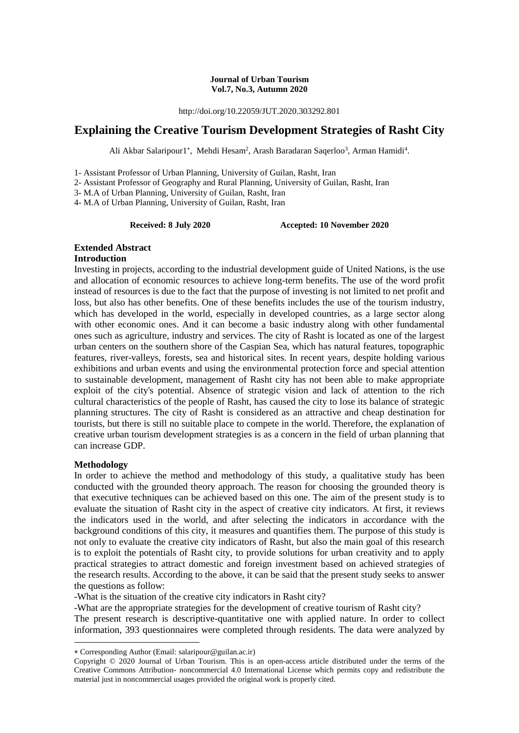#### **Journal of Urban Tourism Vol.7, No.3, Autumn 2020**

http://doi.org/10.22059/JUT.2020.303292.801

# **Explaining the Creative Tourism Development Strategies of Rasht City**

Ali Akbar Salaripour1\*, Mehdi Hesam<sup>2</sup>, Arash Baradaran Saqerloo<sup>3</sup>, Arman Hamidi<sup>4</sup>.

1- Assistant Professor of Urban Planning, University of Guilan, Rasht, Iran

2- Assistant Professor of Geography and Rural Planning, University of Guilan, Rasht, Iran

3- M.A of Urban Planning, University of Guilan, Rasht, Iran

4- M.A of Urban Planning, University of Guilan, Rasht, Iran

**Received: 8 July 2020 Accepted: 10 November 2020**

## **Extended Abstract**

### **Introduction**

Investing in projects, according to the industrial development guide of United Nations, is the use and allocation of economic resources to achieve long-term benefits. The use of the word profit instead of resources is due to the fact that the purpose of investing is not limited to net profit and loss, but also has other benefits. One of these benefits includes the use of the tourism industry, which has developed in the world, especially in developed countries, as a large sector along with other economic ones. And it can become a basic industry along with other fundamental ones such as agriculture, industry and services. The city of Rasht is located as one of the largest urban centers on the southern shore of the Caspian Sea, which has natural features, topographic features, river-valleys, forests, sea and historical sites. In recent years, despite holding various exhibitions and urban events and using the environmental protection force and special attention to sustainable development, management of Rasht city has not been able to make appropriate exploit of the city's potential. Absence of strategic vision and lack of attention to the rich cultural characteristics of the people of Rasht, has caused the city to lose its balance of strategic planning structures. The city of Rasht is considered as an attractive and cheap destination for tourists, but there is still no suitable place to compete in the world. Therefore, the explanation of creative urban tourism development strategies is as a concern in the field of urban planning that can increase GDP.

### **Methodology**

1

In order to achieve the method and methodology of this study, a qualitative study has been conducted with the grounded theory approach. The reason for choosing the grounded theory is that executive techniques can be achieved based on this one. The aim of the present study is to evaluate the situation of Rasht city in the aspect of creative city indicators. At first, it reviews the indicators used in the world, and after selecting the indicators in accordance with the background conditions of this city, it measures and quantifies them. The purpose of this study is not only to evaluate the creative city indicators of Rasht, but also the main goal of this research is to exploit the potentials of Rasht city, to provide solutions for urban creativity and to apply practical strategies to attract domestic and foreign investment based on achieved strategies of the research results. According to the above, it can be said that the present study seeks to answer the questions as follow:

-What is the situation of the creative city indicators in Rasht city?

-What are the appropriate strategies for the development of creative tourism of Rasht city? The present research is descriptive-quantitative one with applied nature. In order to collect information, 393 questionnaires were completed through residents. The data were analyzed by

Corresponding Author (Email: salaripour@guilan.ac.ir)

Copyright © 2020 Journal of Urban Tourism. This is an open-access article distributed under the terms of the Creative Commons Attribution- noncommercial 4.0 International License which permits copy and redistribute the material just in noncommercial usages provided the original work is properly cited.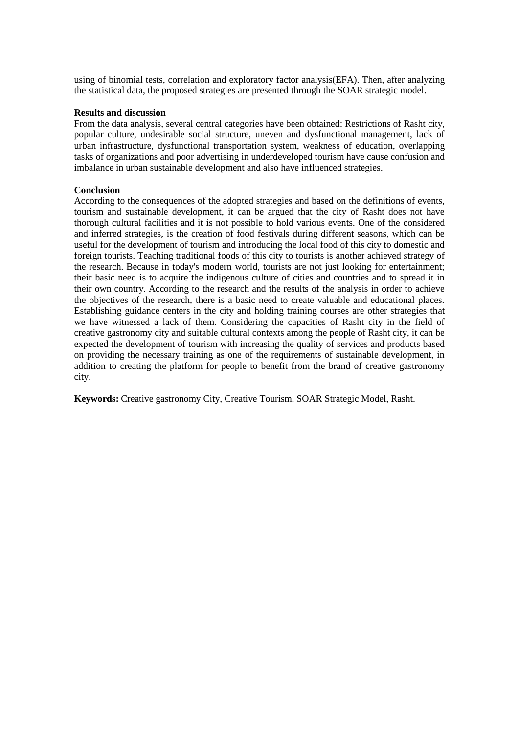using of binomial tests, correlation and exploratory factor analysis(EFA). Then, after analyzing the statistical data, the proposed strategies are presented through the SOAR strategic model.

### **Results and discussion**

From the data analysis, several central categories have been obtained: Restrictions of Rasht city, popular culture, undesirable social structure, uneven and dysfunctional management, lack of urban infrastructure, dysfunctional transportation system, weakness of education, overlapping tasks of organizations and poor advertising in underdeveloped tourism have cause confusion and imbalance in urban sustainable development and also have influenced strategies.

#### **Conclusion**

According to the consequences of the adopted strategies and based on the definitions of events, tourism and sustainable development, it can be argued that the city of Rasht does not have thorough cultural facilities and it is not possible to hold various events. One of the considered and inferred strategies, is the creation of food festivals during different seasons, which can be useful for the development of tourism and introducing the local food of this city to domestic and foreign tourists. Teaching traditional foods of this city to tourists is another achieved strategy of the research. Because in today's modern world, tourists are not just looking for entertainment; their basic need is to acquire the indigenous culture of cities and countries and to spread it in their own country. According to the research and the results of the analysis in order to achieve the objectives of the research, there is a basic need to create valuable and educational places. Establishing guidance centers in the city and holding training courses are other strategies that we have witnessed a lack of them. Considering the capacities of Rasht city in the field of creative gastronomy city and suitable cultural contexts among the people of Rasht city, it can be expected the development of tourism with increasing the quality of services and products based on providing the necessary training as one of the requirements of sustainable development, in addition to creating the platform for people to benefit from the brand of creative gastronomy city.

**Keywords:** Creative gastronomy City, Creative Tourism, SOAR Strategic Model, Rasht.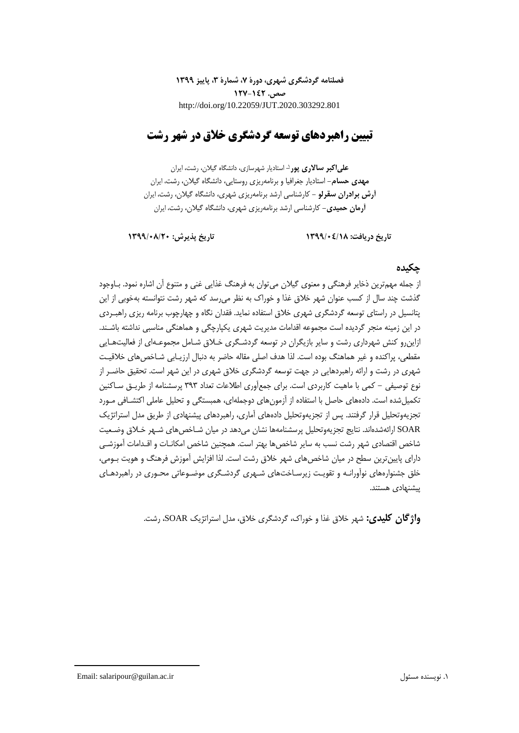**فصلنامه گردشگری شهری، دورۀ ،7 شمارۀ ،3 پاییز 1399 صص. 127-142** http://doi.org/10.22059/JUT.2020.303292.801

# **تبیین راهبردهای توسعه گردشگری خالق در شهر رشت**

**-** استادیار شهرسازی، دانشگاه گیالن، رشت، ایران <sup>1</sup> **علیاکبر ساالری پور مهدی حسام-** استادیار جغرافیا و برنامهریزی روستایی، دانشگاه گیالن، رشت، ایران **آرش برادران سقرلو -** کارشناسی ارشد برنامهریزی شهری، دانشگاه گیالن، رشت، ایران **آرمان حمیدی-** کارشناسی ارشد برنامهریزی شهری، دانشگاه گیالن، رشت، ایران

**تاریخ دریافت: 1399/04/18 تاریخ پذیرش: 1399/08/20**

## **چکیده**

از جمله مهمترین ذخایر فرهنگی و معنوی گیالن میتوان به فرهنگ غذایی غنی و متنوع آن اشاره نمود. بـاوجود گذشت چند سال از کسب عنوان شهر خالق غذا و خوراك به نظر میرسد که شهر رشت نتوانسته بهخوبی از این پتانسیل در راستای توسعه گردشگری شهری خالق استفاده نماید. فقدان نگاه و چهارچوب برنامه ریزی راهبـردی در این زمینه منجر گردیده است مجموعه اقدامات مدیریت شهری یکپارچگی و هماهنگی مناسبی نداشته باشـند. ازاینرو کنش شهرداری رشت و سایر بازیگران در توسعه گردشـگری خـالق شـامل مجموعـهای از فعالیتهـایی مقطعی، پراکنده و غیر هماهنگ بوده است. لذا هدف اصلی مقاله حاضر به دنبال ارزیـابی شـاخصهای خالقیـت شهری در رشت و ارائه راهبردهایی در جهت توسعه گردشگری خالق شهری در این شهر است. تحقیق حاضـر از نوع توصیفی - کمی با ماهیت کاربردی است. برای جمعآوری اطالعات تعداد 393 پرسشنامه از طریـق سـاکنین تکمیلشده است. دادههای حاصل با استفاده از آزمونهای دوجملهای، همبستگی و تحلیل عاملی اکتشـافی مـورد تجزیهوتحلیل قرار گرفتند. پس از تجزیهوتحلیل دادههای آماری، راهبردهای پیشنهادی از طریق مدل استراتژیک SOAR ارائهشدهاند. نتایج تجزیهوتحلیل پرسشنامهها نشان میدهد در میان شـاخصهای شـهر خـالق وضـعیت شاخص اقتصادی شهر رشت نسب به سایر شاخصها بهتر است. همچنین شاخص امکانـات و اقـدامات آموزشـی دارای پایینترین سطح در میان شاخصهای شهر خالق رشت است. لذا افزایش آموزش فرهنگ و هویت بـومی، خلق جشنوارههای نوآورانـه و تقویـت زیرسـاختهای شـهری گردشـگری موضـوعاتی محـوری در راهبردهـای پیشنهادی هستند.

**واژگان کلیدی:** شهر خالق غذا و خوراك، گردشگری خالق، مدل استراتژیک SOAR، رشت.

Email: salaripour@guilan.ac.ir مسئول نویسنده .1

1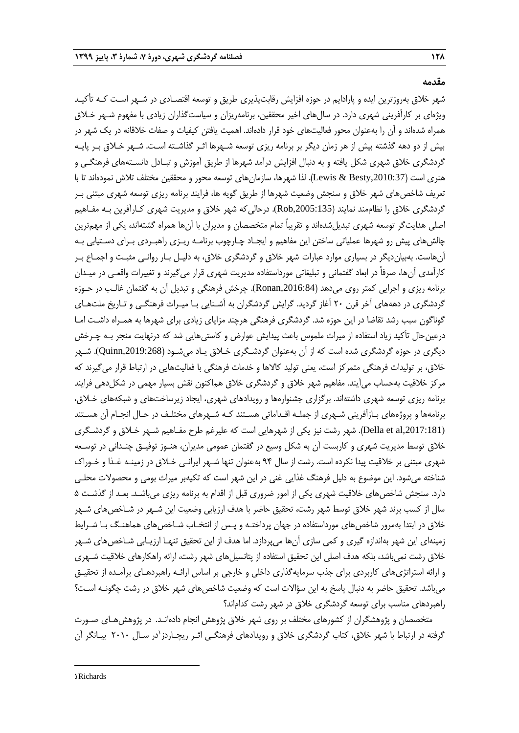**مقدمه**

شهر خالق بهروزترین ایده و پارادایم در حوزه افزایش رقابتپذیری طریق و توسعه اقتصـادی در شـهر اسـت کـه تأکیـد ویژهای بر کارآفرینی شهری دارد. در سالهای اخیر محققین، برنامهریزان و سیاستگذاران زیادی با مفهوم شـهر خـالق همراه شدهاند و آن را بهعنوان محور فعالیتهای خود قرار دادهاند. اهمیت یافتن کیفیات و صفات خالقانه در یک شهر در بیش از دو دهه گذشته بیش از هر زمان دیگر بر برنامه ریزی توسعه شـهرها اثـر گذاشـته اسـت. شـهر خـالق بـر پایـه گردشگری خالق شهری شکل یافته و به دنبال افزایش درآمد شهرها از طریق آموزش و تبـادل دانسـتههای فرهنگـی و هنری است ),2010:37Besty & Lewis). لذا شهرها، سازمانهای توسعه محور و محققین مختلف تالش نمودهاند تا با تعریف شاخصهای شهر خالق و سنجش وضعیت شهرها از طریق گویه ها، فرایند برنامه ریزی توسعه شهری مبتنی بـر گردشگری خلاق را نظاممند نمایند (Rob,2005:135). درحالی که شهر خلاق و مدیریت شهری کـارآفرین بـه مفـاهیم اصلی هدایتگر توسعه شهری تبدیلشدهاند و تقریباً تمام متخصصان و مدیران با آنها همراه گشتهاند، یکی از مهمترین چالشهای پیش رو شهرها عملیاتی ساختن این مفاهیم و ایجـاد چـارچوب برنامـه ریـزی راهبـردی بـرای دسـتیابی بـه آنهاست. بهبیاندیگر در بسیاری موارد عبارات شهر خالق و گردشگری خالق، به دلیـل بـار روانـی مثبـت و اجمـاع بـر کارآمدی آنها، صرفاً در ابعاد گفتمانی و تبلیغاتی مورداستفاده مدیریت شهری قرار میگیرند و تغییرات واقعـی در میـدان برنامه ریزی و اجرایی کمتر روی میدهد ),2016:84Ronan). چرخش فرهنگی و تبدیل آن به گفتمان غالـب در حـوزه گردشگری در دهههای آخر قرن ۲۰ آغاز گردید. گرایش گردشگران به آشـنایی بـا میـراث فرهنگـی و تـاریخ ملتهـای گوناگون سبب رشد تقاضا در این حوزه شد. گردشگری فرهنگی هرچند مزایای زیادی برای شهرها به همـراه داشـت امـا درعین حال تأکید زیاد استفاده از میراث ملموس باعث پیدایش عوارض و کاستی هایی شد که درنهایت منجر بـه چـرخش دیگری در حوزه گردشگری شده است که از آن بهعنوان گردشـگری خـالق یـاد میشـود ),2019:268Quinn). شـهر خالق، بر تولیدات فرهنگی متمرکز است، یعنی تولید کاالها و خدمات فرهنگی با فعالیتهایی در ارتباط قرار میگیرند که مرکز خالقیت بهحساب میآیند. مفاهیم شهر خالق و گردشگری خالق هماکنون نقش بسیار مهمی در شکلدهی فرایند برنامه ریزی توسعه شهری داشتهاند. برگزاری جشنوارهها و رویدادهای شهری، ایجاد زیرساختهای و شبکههای خـالق، برنامهها و پروژههای بـازآفرینی شـهری از جملـه اقـداماتی هسـتند کـه شـهرهای مختلـف در حـال انجـام آن هسـتند ),2017:181al et Della). شهر رشت نیز یکی از شهرهایی است که علیرغم طرح مفـاهیم شـهر خـالق و گردشـگری خلاق توسط مدیریت شهری و کاربست آن به شکل وسیع در گفتمان عمومی مدیران، هنـوز توفیـق چنـدانی در توسـعه شهری مبتنی بر خالقیت پیدا نکرده است. رشت از سال 94 بهعنوان تنها شـهر ایرانـی خـالق در زمینـه غـذا و خـوراك شناخته میشود. این موضوع به دلیل فرهنگ غذایی غنی در این شهر است که تکیهبر میراث بومی و محصوالت محلـی دارد. سنجش شاخصهای خالقیت شهری یکی از امور ضروری قبل از اقدام به برنامه ریزی میباشـد. بعـد از گذشـت 5 سال از کسب برند شهر خلاق توسط شهر رشت، تحقیق حاضر با هدف ارزیابی وضعیت این شـهر در شـاخص۵های شـهر خلاق در ابتدا بهمرور شاخص های مورداستفاده در جهان پرداختـه و پـس از انتخـاب شـاخص های هماهنـگ بـا شـرایط زمینهای این شهر بهاندازه گیری و کمی سازی آنها میپردازد. اما هدف از این تحقیق تنهـا ارزیـابی شـاخصهای شـهر خالق رشت نمیباشد، بلکه هدف اصلی این تحقیق استفاده از پتانسیلهای شهر رشت، ارائه راهکارهای خالقیت شـهری و ارائه استراتژیهای کاربردی برای جذب سرمایهگذاری داخلی و خارجی بر اساس ارائـه راهبردهـای برآمـده از تحقیـق میباشد. تحقیق حاضر به دنبال پاسخ به این سؤالات است که وضعیت شاخص های شهر خلاق در رشت چگونـه اسـت؟ راهبردهای مناسب برای توسعه گردشگری خالق در شهر رشت کداماند؟

متخصصان و پژوهشگران از کشورهای مختلف بر روی شهر خالق پژوهش انجام دادهانـد. در پژوهشهـای صـورت گرفته در ارتباط با شهر خلاق، کتاب گردشگری خلاق و رویدادهای فرهنگـی اثـر ریچـاردز'در سـال ۲۰۱۰ بیـانگر اَن

1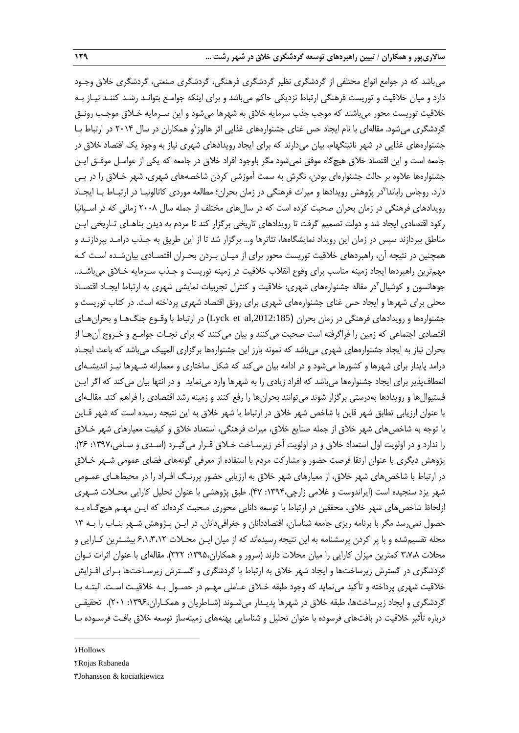میباشد که در جوامع انواع مختلفی از گردشگری نظیر گردشگری فرهنگی، گردشگری صنعتی، گردشگری خالق وجـود دارد و میان خالقیت و توریست فرهنگی ارتباط نزدیکی حاکم میباشد و برای اینکه جوامـع بتوانـد رشـد کننـد نیـاز بـه خالقیت توریست محور میباشند که موجب جذب سرمایه خالق به شهرها میشود و این سـرمایه خـالق موجـب رونـق گردشگری میشود. مقالهای با نام ایجاد حس غنای جشنوارههای غذایی اثر هالوز`و همکاران در سال ۲۰۱۴ در ارتباط بـا جشنوارههای غذایی در شهر ناتینگهام، بیان میدارند که برای ایجاد رویدادهای شهری نیاز به وجود یک اقتصاد خالق در جامعه است و این اقتصاد خالق هیچگاه موفق نمیشود مگر باوجود افراد خالق در جامعه که یکی از عوامـل موفـق ایـن جشنوارهها عالوه بر حالت جشنوارهای بودن، نگرش به سمت آموزشی کردن شاخصههای شهری، شهر خـالق را در پـی دارد. روجاس راباندا<sup>۲</sup>در پژوهش رویدادها و میراث فرهنگی در زمان بحران؛ مطالعه مورد*ی* کاتالونیـا در ارتبــاط بـا ایجــاد رویدادهای فرهنگی در زمان بحران صحبت کرده است که در سالهای مختلف از جمله سال 2008 زمانی که در اسـپانیا رکود اقتصادی ایجاد شد و دولت تصمیم گرفت تا رویدادهای تاریخی برگزار کند تا مردم به دیدن بناهـای تـاریخی ایـن مناطق بپردازند سپس در زمان این رویداد نمایشگاهها، تئاترها و... برگزار شد تا از این طریق به جـذب درامـد بپردازنـد و همچنین در نتیجه آن، راهبردهای خالقیت توریست محور برای از میـان بـردن بحـران اقتصـادی بیانشـده اسـت کـه مهمترین راهبردها ایجاد زمینه مناسب برای وقوع انقالب خالقیت در زمینه توریست و جـذب سـرمایه خـالق میباشـد.. جوهانسون و کوشیال ّدر مقاله جشنوارههای شهری: خلاقیت و کنترل تجربیات نمایشی شهری به ارتباط ایجـاد اقتصـاد محلی برای شهرها و ایجاد حس غنای جشنوارههای شهری برای رونق اقتصاد شهری پرداخته است. در کتاب توریست و جشنوارهها و رویدادهای فرهنگی در زمان بحران (Lyck et al,2012:185) در ارتباط با وقـوع جنگ<code>Lel</code> و بحرانِهـای اقتصادی اجتماعی که زمین را فراگرفته است صحبت میکنند و بیان میکنند که برای نجـات جوامـع و خـروج آنهـا از بحران نیاز به ایجاد جشنوارههای شهری میباشد که نمونه بارز این جشنوارهها برگزاری المپیک میباشد که باعث ایجـاد درامد پایدار برای شهرها و کشورها میشود و در ادامه بیان میکند که شکل ساختاری و معمارانه شـهرها نیـز اندیشـهای انعطافپذیر برای ایجاد جشنوارهها میباشد که افراد زیادی را به شهرها وارد مینماید و در انتها بیان میکند که اگر ایـن فستیوالها و رویدادها بهدرستی برگزار شوند میتوانند بحرانها را رفع کنند و زمینه رشد اقتصادی را فراهم کند. مقالـهای با عنوان ارزیابی تطابق شهر قاین با شاخص شهر خالق در ارتباط با شهر خالق به این نتیجه رسیده است که شهر قـاین با توجه به شاخصهای شهر خالق از جمله صنایع خالق، میراث فرهنگی، استعداد خالق و کیفیت معیارهای شهر خـالق را ندارد و در اولویت اول استعداد خالق و در اولویت آخر زیرسـاخت خـالق قـرار میگیـرد )اسـدی و سـامی:1397، 26(. پژوهش دیگری با عنوان ارتقا فرصت حضور و مشارکت مردم با استفاده از معرفی گونههای فضای عمومی شـهر خـالق در ارتباط با شاخصهای شهر خلاق، از معیارهای شهر خلاق به ارزیابی حضور پررنـگ افـراد را در محیطهـای عمـومی شهر یزد سنجیده است )ایراندوست و غالمی زارچی:1394، 47(. طبق پژوهشی با عنوان تحلیل کارایی محـالت شـهری ازلحاظ شاخص های شهر خلاق، محققین در ارتباط با توسعه دانایی محوری صحبت کردهاند که ایـن مهـم هیچگــاه بـه حصول نمیرسد مگر با برنامه ریزی جامعه شناسان، اقتصاددانان و جغرافیدانان. در ایـن پـژوهش شـهر بنـاب را بـه 13 محله تقسیمشده و با پر کردن پرسشنامه به این نتیجه رسیدهاند که از میان ایـن محـالت 6،1،3،12 بیشـترین کـارایی و محلات ٣،٧،٨ کمترین میزان کارایی را میان محلات دارند (سرور و همکاران،١٣٩۵: ٣٢٢). مقالهای با عنوان اثرات تـوان گردشگری در گسترش زیرساختها و ایجاد شهر خالق به ارتباط با گردشگری و گسـترش زیرسـاختها بـرای افـزایش خالقیت شهری پرداخته و تأکید مینماید که وجود طبقه خـالق عـاملی مهـم در حصـول بـه خالقیـت اسـت. البتـه بـا گردشگری و ایجاد زیرساختها، طبقه خلاق در شهرها پدیـدار میشـوند (شـاطریان و همکـاران،۱۳۹۶: ۲۰۱). تحقیقـی درباره تأثیر خالقیت در بافتهای فرسوده با عنوان تحلیل و شناسایی پهنههای زمینهساز توسعه خالق بافـت فرسـوده بـا

1. Hollows

**.** 

<sup>2</sup>. Rojas Rabaneda

<sup>3</sup>. Johansson & kociatkiewicz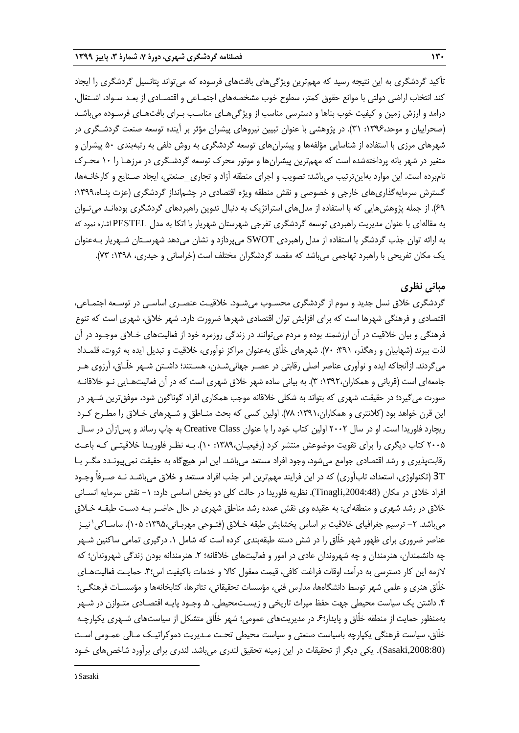تأکید گردشگری به این نتیجه رسید که مهمترین ویژگیهای بافتهای فرسوده که میتواند پتانسیل گردشگری را ایجاد کند انتخاب اراضی دولتی با موانع حقوق کمتر، سطوح خوب مشخصههای اجتمـاعی و اقتصـادی از بعـد سـواد، اشـتغال، درامد و ارزش زمین و کیفیت خوب بناها و دسترسی مناسب از ویژگیهـای مناسـب بـرای بافتهـای فرسـوده میباشـد )صحراییان و موحد:1396، 31(. در پژوهشی با عنوان تبیین نیروهای پیشران مؤثر بر آینده توسعه صنعت گردشـگری در شهرهای مرزی با استفاده از شناسایی مؤلفهها و پیشرانهای توسعه گردشگری به روش دلفی به رتبهبندی 50 پیشران و متغیر در شهر بانه پرداختهشده است که مهمترین پیشرانها و موتور محرك توسعه گردشـگری در مرزهـا را 10 محـرك نامبرده است. این موارد بهاینترتیب میباشد: تصویب و اجرای منطقه آزاد و تجاری\_صنعتی، ایجاد صـنایع و کارخانـهها، گسترش سرمایهگذاریهای خارجی و خصوصی و نقش منطقه ویژه اقتصادی در چشمانداز گردشگری )عزت پنـاه:1399، 69(. از جمله پژوهشهایی که با استفاده از مدلهای استراتژیک به دنبال تدوین راهبردهای گردشگری بودهانـد میتـوان به مقالهای با عنوان مدیریت راهبردی توسعه گردشگری تفرجی شهرستان شهریار با اتکا به مدل PESTEL اشاره نمود که به ارائه توان جذب گردشگر با استفاده از مدل راهبردی SWOT میپردازد و نشان میدهد شهرسـتان شـهریار بـهعنوان یک مکان تفریحی با راهبرد تهاجمی میباشد که مقصد گردشگران مختلف است (خراسانی و حیدری، ۱۳۹۸: ۷۳).

## **مبانی نظری**

گردشگری خالق نسل جدید و سوم از گردشگری محسـوب میشـود. خالقیـت عنصـری اساسـی در توسـعه اجتمـاعی، اقتصادی و فرهنگی شهرها است که برای افزایش توان اقتصادی شهرها ضرورت دارد. شهر خالق، شهری است که تنوع فرهنگی و بیان خالقیت در آن ارزشمند بوده و مردم میتوانند در زندگی روزمره خود از فعالیتهای خـالق موجـود در آن لذت ببرند )شهابیان و رهگذر، :391 70(. شهرهای خلّاق بهعنوان مراکز نوآوری، خالقیت و تبدیل ایده به ثروت، قلمـداد میگردند. ازآنجاکه ایده و نوآوری عناصر اصلی رقابتی در عصـر جهانیشـدن، هسـتند؛ داشـتن شـهر خلّـاق، آرزوی هـر جامعهای است (قربانی و همکاران،۱۳۹۲: ۳). به بیانی ساده شهر خلاق شهری است که در آن فعالیتهـایی نـو خلاقانـه صورت میگیرد؛ در حقیقت، شهری که بتواند به شکلی خالقانه موجب همکاری افراد گوناگون شود، موفقترین شـهر در این قرن خواهد بود (کلانتری و همکاران،۱۳۹۱: ۷۸). اولین کسی که بحث منـاطق و شـهرهای خـلاق را مطـرح کـرد ریچارد فلوریدا است. او در سال 2002 اولین کتاب خود را با عنوان Class Creative به چاپ رساند و پسازآن در سـال 2005 کتاب دیگری را برای تقویت موضوعش منتشر کرد )رفیعیـان:1389، 10(. بـه نظـر فلوریـدا خالقیتـی کـه باعـ رقابتپذیری و رشد اقتصادی جوامع میشود، وجود افراد مستعد میباشد. این امر هیچگاه به حقیقت نمیپیونـدد مگـر بـا T3( تکنولوژی، استعداد، تابآوری( که در این فرایند مهمترین امر جذب افراد مستعد و خالق میباشـد نـه صـرفاً وجـود افراد خالق در مکان ),2004:48Tinagli). نظریه فلوریدا در حالت کلی دو بخش اساسی دارد: -1 نقش سرمایه انسـانی خالق در رشد شهری و منطقهای: به عقیده وی نقش عمده رشد مناطق شهری در حال حاضـر بـه دسـت طبقـه خـالق میباشد. ۲– ترسیم جغرافیای خلاقیت بر اساس پخشایش طبقه خـلاق (فتـوحی مهربـانی،۱۳۹۵: ۱۰۵). ساسـاکی`نیـز عناصر ضروری برای ظهور شهر خلّاق را در شش دسته طبقهبندی کرده است که شامل .1 درگیری تمامی ساکنین شـهر چه دانشمندان، هنرمندان و چه شهروندان عادی در امور و فعالیتهای خلاقانه؛ ۲. هنرمندانه بودن زندگی شهروندان؛ که الزمه این کار دسترسی به درآمد، اوقات فراغت کافی، قیمت معقول کاال و خدمات باکیفیت اس؛.3 حمایـت فعالیتهـای خلّاق هنری و علمی شهر توسط دانشگاهها، مدارس فنی، مؤسسات تحقیقاتی، تئاترها، کتابخانهها و مؤسسـات فرهنگـی؛ .4 داشتن یک سیاست محیطی جهت حفب میراث تاریخی و زیسـتمحیطی. .5 وجـود پایـه اقتصـادی متـوازن در شـهر بهمنظور حمایت از منطقه خلّاق و پایدار؛.6 در مدیریتهای عمومی؛ شهر خلّاق متشکل از سیاستهای شـهری یکپارچـه خلّاق، سیاست فرهنگی یکپارچه باسیاست صنعتی و سیاست محیطی تحـت مـدیریت دموکراتیـک مـالی عمـومی اسـت ),2008:80Sasaki). یکی دیگر از تحقیقات در این زمینه تحقیق لندری میباشد. لندری برای برآورد شاخصهای خـود

1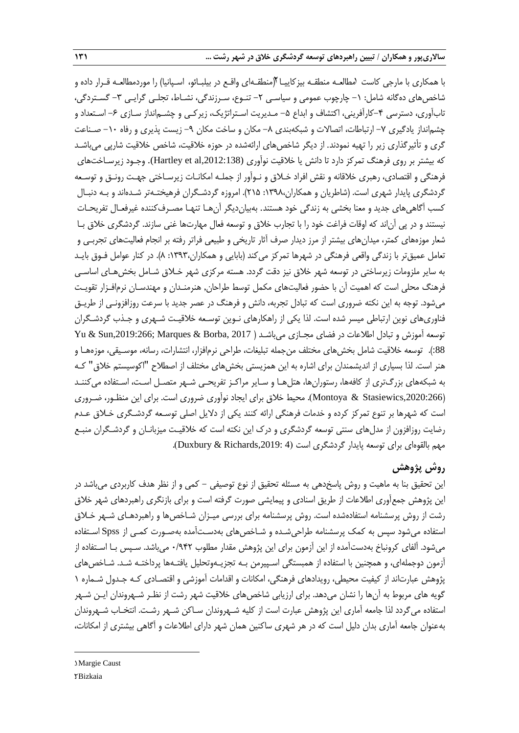با همکاری با مارجی کاست لمطالعـه منطقـه بیزکاییـا ((منطقـهای واقـع در بیلبـائو، اسـپانیا) را موردمطالعـه قـرار داده و شاخصهای دهگانه شامل: ١- چارچوب عمومی و سیاسـی ٢- تنـوع، سـرزندگی، نشـاط، تجلـی گرایـی ٣- گسـتردگی، تابآوری، دسترسی ۴–کارآفرینی، اکتشاف و ابداع ۵– مـدیریت اسـتراتژیک، زیرکـی و چشـمانداز سـازی ۶– اسـتعداد و چشمانداز یادگیری ۷– ارتباطات، اتصالات و شبکهبندی ۸– مکان و ساخت مکان ۹– زیست پذیری و رفاه ۱۰– صـناعت گری و تأثیرگذاری زیر را تهیه نمودند. از دیگر شاخصهای ارائهشده در حوزه خلاقیت، شاخص خلاقیت شارپی میباشـد که بیشتر بر روی فرهنگ تمرکز دارد تا دانش یا خالقیت نوآوری (,2012:138al et Hartley(. وجـود زیرسـاختهای فرهنگی و اقتصادی، رهبری خالقانه و نقش افراد خـالق و نـوآور از جملـه امکانـات زیرسـاختی جهـت رونـق و توسـعه گردشگری پایدار شهری است. (شاطریان و همکاران،۱۳۹۸: ۲۱۵). امروزه گردشـگران فرهیختـهتر شـدهاند و بـه دنبـال کسب آگاهیهای جدید و معنا بخشی به زندگی خود هستند. بهبیاندیگر آنهـا تنهـا مصـرفکننده غیرفعـال تفریحـات نیستند و در پی آناند که اوقات فراغت خود را با تجارب خالق و توسعه فعال مهارتها غنی سازند. گردشگری خالق بـا شعار موزههای کمتر، میدانهای بیشتر از مرز دیدار صرف آثار تاریخی و طبیعی فراتر رفته بر انجام فعالیتهای تجربـی و تعامل عمیق تر با زندگی واقعی فرهنگی در شهرها تمرکز می کند (بابایی و همکاران،۱۳۹۳: ۸). در کنار عوامل فـوق بایـد به سایر ملزومات زیرساختی در توسعه شهر خالق نیز دقت گردد. هسته مرکزی شهر خـالق شـامل بخشهـای اساسـی فرهنگ محلی است که اهمیت آن با حضور فعالیتهای مکمل توسط طراحان, هنرمنـدان و مهندسـان نرمافـزار تقویـت میشود. توجه به این نکته ضروری است که تبادل تجربه، دانش و فرهنگ در عصر جدید با سرعت روزافزونـی از طریـق فناوریهای نوین ارتباطی میسر شده است. لذا یکی از راهکارهای نـوین توسـعه خالقیـت شـهری و جـذب گردشـگران توسعه آموزش و تبادل اطلاعات در فضای مجـازی میباشـد ( 2017 ,Yu & Sun,2019:266; Marques & Borba & 88:). توسعه خلاقیت شامل بخشهای مختلف من جمله تبلیغات، طراحی نرمافزار، انتشارات، رسانه، موسـیقی، موزههـا و هنر است. لذا بسیاری از اندیشمندان برای اشاره به این همزیستی بخشهای مختلف از اصطالح "اکوسیستم خالق" کـه به شبکههای بزررتری از کافهها، رستورانها، هتلهـا و سـایر مراکـز تفریحـی شـهر متصـل اسـت، اسـتفاده میکننـد (Montoya & Stasiewics,2020:266). محیط خلاق برای ایجاد نوآوری ضروری است. برای این منظـور، ضـروری است که شهرها بر تنوع تمرکز کرده و خدمات فرهنگی ارائه کنند یکی از دالیل اصلی توسـعه گردشـگری خـالق عـدم رضایت روزافزون از مدلهای سنتی توسعه گردشگری و درك این نکته است که خالقیـت میزبانـان و گردشـگران منبـع مهم بالقوهای برای توسعه پایدار گردشگری است (Duxbury & Richards,2019: 4).

# **روش پژوهش**

این تحقیق بنا به ماهیت و روش پاسخدهی به مسئله تحقیق از نوع توصیفی – کمی و از نظر هدف کاربردی میباشد در این پژوهش جمعآوری اطالعات از طریق اسنادی و پیمایشی صورت گرفته است و برای بازنگری راهبردهای شهر خالق رشت از روش پرسشنامه استفادهشده است. روش پرسشنامه برای بررسی میـزان شـاخصها و راهبردهـای شـهر خـالق استفاده میشود سپس به کمک پرسشنامه طراحیشـده و شـاخصهای بهدسـتآمده بهصـورت کمـی از Spss اسـتفاده میشود. آلفای کرونباخ بهدستآمده از این آزمون برای این پژوهش مقدار مطلوب 0/942 میباشد. سـپس بـا اسـتفاده از آزمون دوجملهای، و همچنین با استفاده از همبستگی اسـپیرمن بـه تجزیـهوتحلیل یافتـهها پرداختـه شـد. شـاخصهای پژوهش عبارتاند از کیفیت محیطی، رویدادهای فرهنگی، امکانات و اقدامات آموزشی و اقتصـادی کـه جـدول شـماره 1 گویه های مربوط به آنها را نشان میدهد. برای ارزیابی شاخصهای خالقیت شهر رشت از نظـر شـهروندان ایـن شـهر استفاده میگردد لذا جامعه آماری این پژوهش عبارت است از کلیه شـهروندان سـاکن شـهر رشـت. انتخـاب شـهروندان بهعنوان جامعه آماری بدان دلیل است که در هر شهری ساکنین همان شهر دارای اطالعات و آگاهی بیشتری از امکانات،

1. Margie Caust **7Bizkaia** 

**.**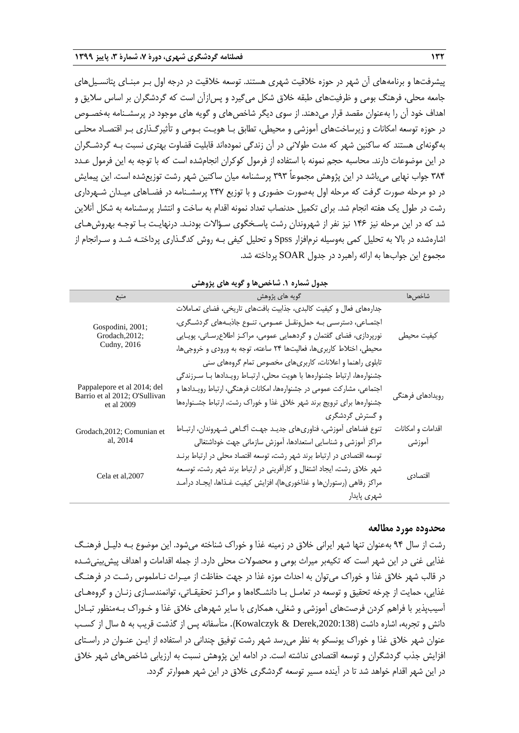پیشرفتها و برنامههای آن شهر در حوزه خالقیت شهری هستند. توسعه خالقیت در درجه اول بـر مبنـای پتانسـیلهای جامعه محلی، فرهنگ بومی و ظرفیتهای طبقه خالق شکل میگیرد و پسازآن است که گردشگران بر اساس سالیق و اهداف خود آن را بهعنوان مقصد قرار میدهند. از سوی دیگر شاخصهای و گویه های موجود در پرسشـنامه بهخصـوص در حوزه توسعه امکانات و زیرساختهای آموزشی و محیطی، تطابق بـا هویـت بـومی و تأثیرگـذاری بـر اقتصـاد محلـی بهگونهای هستند که ساکنین شهر که مدت طوالنی در آن زندگی نمودهاند قابلیت قضاوت بهتری نسبت بـه گردشـگران در این موضوعات دارند. محاسبه حجم نمونه با استفاده از فرمول کوکران انجامشده است که با توجه به این فرمول عـدد 384 جواب نهایی میباشد در این پژوهش مجموعاً 393 پرسشنامه میان ساکنین شهر رشت توزیعشده است. این پیمایش در دو مرحله صورت گرفت که مرحله اول بهصورت حضوری و با توزیع 247 پرسشـنامه در فضـاهای میـدان شـهرداری رشت در طول یک هفته انجام شد. برای تکمیل حدنصاب تعداد نمونه اقدام به ساخت و انتشار پرسشنامه به شکل آنالین شد که در این مرحله نیز 146 نیز نفر از شهروندان رشت پاسـخگوی سـؤاالت بودنـد. درنهایـت بـا توجـه بهروشهـای اشارهشده در باال به تحلیل کمی بهوسیله نرمافزار Spss و تحلیل کیفی بـه روش کدگـذاری پرداختـه شـد و سـرانجام از مجموع این جوابها به ارائه راهبرد در جدول SOAR پرداخته شد.

| منبع                                                                       | گويه هاي پژوهش                                                                                                                                                                                                                                                                                                                                         | شاخصها                      |
|----------------------------------------------------------------------------|--------------------------------------------------------------------------------------------------------------------------------------------------------------------------------------------------------------------------------------------------------------------------------------------------------------------------------------------------------|-----------------------------|
| Gospodini, 2001;<br>Grodach, 2012;<br>Cudny, 2016                          | جدارههای فعال و کیفیت کالبدی، جذابیت بافتهای تاریخی، فضای تعاملات<br>اجتمـاعي، دسترسـى بـه حملونقــل عمــومى، تنــوع جاذبــههاى گردشــگرى،<br>نورپردازی، فضای گفتمان و گردهمایی عمومی، مراکـز اطلاعرسـانی، پویـایی<br>محیطی، اختلاط کاربریها، فعالیتها ۲۴ ساعته، توجه به ورودی و خروجیها،<br>تابلوی راهنما و اعلانات، کاربریهای مخصوص تمام گروههای سنی | كيفيت محيطى                 |
| Pappalepore et al 2014; del<br>Barrio et al 2012; O'Sullivan<br>et al 2009 | جشنوارهها، ارتباط جشنوارهها با هويت محلى، ارتبـاط رويـدادها بـا سـرزندگى<br>اجتماعی، مشارکت عمومی در جشنوارهها، امکانات فرهنگی، ارتباط رویـدادها و<br>جشنوارهها براى ترويج برند شهر خلاق غذا و خوراك رشت، ارتباط جشـنوارهها<br>و گسترش گردشگری                                                                                                         | رويدادهاى فرهنگى            |
| Grodach, 2012; Comunian et<br>al, 2014                                     | تنوع فضاهاى آموزشي، فناورىهاى جديـد جهـت أگـاهي شـهروندان، ارتبـاط<br>مراکز آموزشی و شناسایی استعدادها، آموزش سازمانی جهت خوداشتغالی                                                                                                                                                                                                                   | اقدامات و امکانات<br>أموزشى |
| Cela et al, 2007                                                           | توسعه اقتصادی در ارتباط برند شهر رشت، توسعه اقتصاد محلی در ارتباط برنـد<br>شهر خلاق رشت، ایجاد اشتغال و کارآفرینی در ارتباط برند شهر رشت، توسـعه<br>مراكز رفاهي (رستورانها و غذاخوريها)، افزايش كيفيت غـذاها، ايجـاد درآمـد<br>شهرى پايدار                                                                                                             | اقتصادي                     |

**جدول شماره .1 شاخصها و گویه های پژوهش**

#### **محدوده مورد مطالعه**

رشت از سال 94 بهعنوان تنها شهر ایرانی خالق در زمینه غذا و خوراك شناخته میشود. این موضوع بـه دلیـل فرهنـگ غذایی غنی در این شهر است که تکیهبر میراث بومی و محصوالت محلی دارد. از جمله اقدامات و اهداف پیشبینیشـده در قالب شهر خالق غذا و خوراك میتوان به احداث موزه غذا در جهت حفاظت از میـراث نـاملموس رشـت در فرهنـگ غذایی، حمایت از چرخه تحقیق و توسعه در تعامـل بـا دانشـگاهها و مراکـز تحقیقـاتی، توانمندسـازی زنـان و گروههـای آسیبپذیر با فراهم کردن فرصتهای آموزشی و شغلی، همکاری با سایر شهرهای خالق غذا و خـوراك بـهمنظور تبـادل دانش و تجربه، اشاره داشت ),2020:138Derek & Kowalczyk). متأسفانه پس از گذشت قریب به 5 سال از کسـب عنوان شهر خالق غذا و خوراك یونسکو به نظر میرسد شهر رشت توفیق چندانی در استفاده از ایـن عنـوان در راسـتای افزایش جذب گردشگران و توسعه اقتصادی نداشته است. در ادامه این پژوهش نسبت به ارزیابی شاخصهای شهر خالق در این شهر اقدام خواهد شد تا در آینده مسیر توسعه گردشگری خالق در این شهر هموارتر گردد.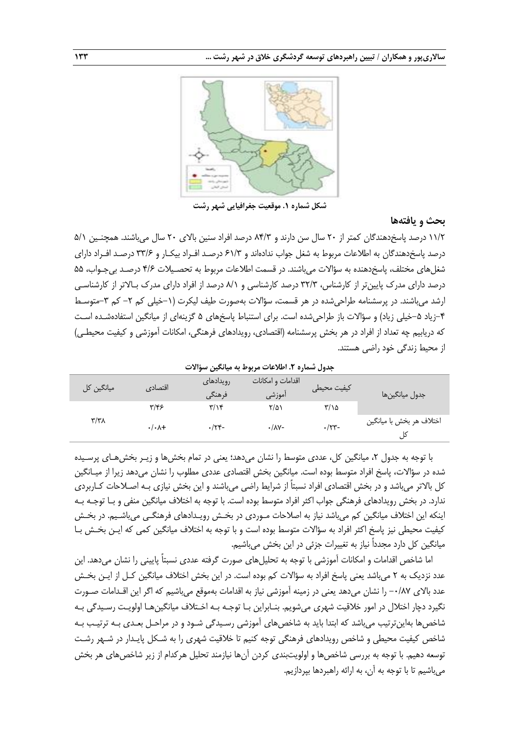

**شکل شماره .1 موقعیت جغرافیایی شهر رشت**

#### **بحث و یافتهها**

11/2 درصد پاس دهندگان کمتر از 20 سال سن دارند و 84/3 درصد افراد سنین باالی 20 سال میباشند. همچنـین 5/1 درصد پاسخ دهندگان به اطلاعات مربوط به شغل جواب ندادهاند و ۶۱/۳ درصـد افـراد بیکـار و ۳۳/۶ درصـد افـراد دارای شغلهای مختلف، پاسخدهنده به سؤالات میباشند. در قسمت اطلاعات مربوط به تحصـیلات ۴/۶ درصـد بیجـواب، ۵۵ درصد دارای مدرك پایینتر از کارشناس، 32/3 درصد کارشناسی و 8/1 درصد از افراد دارای مدرك بـاالتر از کارشناسـی ارشد میباشند. در پرسشنامه طراحی شده در هر قسمت، سؤالات بهصورت طیف لیکرت (۱–خیلی کم ۲– کم ۳-متوسـط ۴-زیاد ۵-خیلی زیاد) و سؤالات باز طراحیشده است. برای استنباط پاسخهای ۵ گزینهای از میانگین استفادهشـده اسـت که دریابیم چه تعداد از افراد در هر بخش پرسشنامه (اقتصادی، رویدادهای فرهنگی، امکانات آموزشی و کیفیت محیطـی) از محیط زندگی خود راضی هستند.

**جدول شماره .2 اطالعات مربوط به میانگین سؤاالت**

| میانگین کل              | اقتصادي                | رويدادهاى<br>فرهنگی     | اقدامات و امکانات<br>آموزشى | كيفيت محيطى   | جدول ميانگين.ا           |
|-------------------------|------------------------|-------------------------|-----------------------------|---------------|--------------------------|
|                         | ۳/۴۶                   | $\mathbf{r}/\mathbf{v}$ | ۲/۵۱                        | $\frac{1}{2}$ |                          |
| $\mathbf{r}/\mathbf{r}$ | $\cdot/\cdot \wedge +$ | $-\frac{9}{15}$         | $\cdot/\lambda$ Y-          | $\cdot$ /٢٣-  | اختلاف هر بخش با ميانگين |

با توجه به جدول ۲، میانگین کل، عددی متوسط را نشان میدهد؛ یعنی در تمام بخشها و زیـر بخشهـای پرسـیده شده در سؤالات، پاسخ افراد متوسط بوده است. میانگین بخش اقتصادی عددی مطلوب را نشان میدهد زیرا از میـانگین کل بالاتر میباشد و در بخش اقتصادی افراد نسبتاً از شرایط راضی میباشند و این بخش نیازی بـه اصـلاحات کـاربردی ندارد. در بخش رویدادهای فرهنگی جواب اکثر افراد متوسط بوده است. با توجه به اختلاف میانگین منفی و بـا توجـه بـه اینکه این اختالف میانگین کم میباشد نیاز به اصالحات مـوردی در بخـش رویـدادهای فرهنگـی میباشـیم. در بخـش کیفیت محیطی نیز پاسخ اکثر افراد به سؤالات متوسط بوده است و با توجه به اختلاف میانگین کمی که ایـن بخـش بـا میانگین کل دارد مجدداً نیاز به تغییرات جزئی در این بخش میباشیم.

اما شاخص اقدامات و امکانات آموزشی با توجه به تحلیلهای صورت گرفته عددی نسبتاً پایینی را نشان میدهد. این عدد نزدیک به ۲ میباشد یعنی پاسخ افراد به سؤالات کم بوده است. در این بخش اختلاف میانگین کـل از ایـن بخـش عدد بالای ۰/۸۷- را نشان میدهد یعنی در زمینه آموزشی نیاز به اقدامات بهموقع میباشیم که اگر این اقـدامات صـورت نگیرد دچار اختالل در امور خالقیت شهری میشویم. بنـابراین بـا توجـه بـه اخـتالف میانگینهـا اولویـت رسـیدگی بـه شاخصها بهاینترتیب میباشد که ابتدا باید به شاخصهای آموزشی رسـیدگی شـود و در مراحـل بعـدی بـه ترتیـب بـه شاخص کیفیت محیطی و شاخص رویدادهای فرهنگی توجه کنیم تا خالقیت شهری را به شـکل پایـدار در شـهر رشـت توسعه دهیم. با توجه به بررسی شاخصها و اولویتبندی کردن آنها نیازمند تحلیل هرکدام از زیر شاخصهای هر بخش میباشیم تا با توجه به آن، به ارائه راهبردها بپردازیم.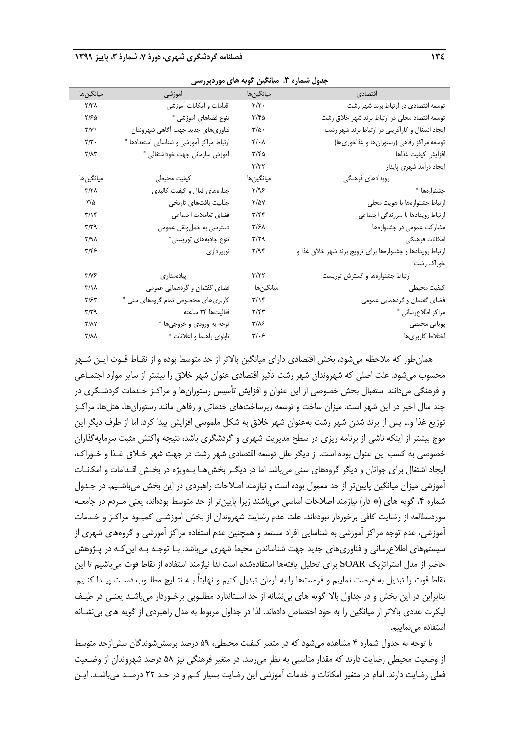|                           |                                           | جغون مسترد ۰۰ میتونین تر  |                                                            |
|---------------------------|-------------------------------------------|---------------------------|------------------------------------------------------------|
| ميانگينھا                 | المعروشي الموزشي                          | ميانگينها                 | اقتصادى                                                    |
| $\gamma/\gamma\lambda$    | اقدامات و امكانات أموزشى                  | $\mathbf{Y}/\mathbf{Y}$ . | توسعه اقتصادی در ارتباط برند شهر رشت                       |
| ۲/۶۵                      | تنوع فضاهای أموزشی *                      | ۲/۴۵                      | توسعه اقتصاد محلی در ارتباط برند شهر خلاق رشت              |
| $\Upsilon/\Upsilon$       | فناوري هاي جديد جهت أكاهي شهروندان        | $\mathbf{r}/\mathbf{r}$ . | ایجاد اشتغال و کارآفرینی در ارتباط برند شهر رشت            |
| $\mathbf{Y}/\mathbf{Y}$ . | ارتباط مراكز أموزشي و شناسايي استعدادها * | $k/\cdot \sqrt{2}$        | توسعه مراكز رفاهي (رستورانها و غذاخوري ها)                 |
| $Y/\Lambda Y$             | أموزش سازماني جهت خوداشتغالي *            | ۳/۴۵                      | افزايش كيفيت غذاها                                         |
|                           |                                           | $\tau/\tau\tau$           | ايجاد درأمد شهرى پايدار                                    |
| ميانگينھا                 | كيفيت محيطى                               | ميانگينھا                 | رويدادهاى فرهنگى                                           |
| $\frac{1}{2}$             | جدارههای فعال و کیفیت کالبدی              | $\zeta/\gamma$            | جشنوارهها *                                                |
| $\frac{1}{2}$             | جذابيت بافتهاى تاريخى                     | $Y/\Delta Y$              | ارتباط جشنوارهها با هويت محلى                              |
| $\mathbf{r}/\mathbf{v}$   | فضاي تعاملات اجتماعي                      | $\mathbf{r}/\mathbf{r}$   | ارتباط رويدادها با سرزندگى اجتماعى                         |
| $\mathbf{r}/\mathbf{r}$   | دسترسی به حملونقل عمومی                   | ۳/۶۸                      | مشارکت عمومی در جشنوارهها                                  |
| $Y/A\lambda$              | تنوع جاذبههای توریستی*                    | ٣/٢٩                      | امكانات فرهنگى                                             |
| ۳/۴۶                      | نورپرداز <i>ی</i>                         | 7/95                      | ارتباط رویدادها و جشنوارهها برای ترویج برند شهر خلاق غذا و |
|                           |                                           |                           | خوراک رشت                                                  |
| $Y/Y$ ۶                   | پیادەمدار <i>ی</i>                        | $\tau/\tau\tau$           | ارتباط جشنوارهها و گسترش توریست                            |
| $\frac{1}{2}$             | فضای گفتمان و گردهمایی عمومی              | ميانگينھا                 | كيفيت محيطى                                                |
| $\frac{1}{2}$             | کاربریهای مخصوص تمام گروههای سنی *        | $\frac{1}{2}$             | فضای گفتمان و گردهمایی عمومی                               |
| $\mathcal{M}/\mathcal{T}$ | فعاليتها ٢۴ ساعته                         | $\mathbf{Y}/\mathbf{Y}$   | مراكز اطلاعرساني *                                         |
| Y/AY                      | توجه به ورودی و خروجیها *                 | ۳/۸۶                      | پویایی محیطی                                               |
| $Y/\lambda\lambda$        | تابلوي راهنما و اعلانات *                 | ۳۱۰۶                      | اختلاط كاربرىها                                            |

**جدول شماره .3 میانگین گویه های موردبررسی**

همانطور که ملاحظه میشود، بخش اقتصادی دارای میانگین بالاتر از حد متوسط بوده و از نقـاط قـوت ایـن شـهر محسوب میشود. علت اصلی که شهروندان شهر رشت تأثیر اقتصادی عنوان شهر خالق را بیشتر از سایر موارد اجتمـاعی و فرهنگی میدانند استقبال بخش خصوصی از این عنوان و افزایش تأسیس رستورانها و مراکـز خـدمات گردشـگری در چند سال اخیر در این شهر است. میزان ساخت و توسعه زیرساختهای خدماتی و رفاهی مانند رستورانها، هتلها، مراکـز توزیع غذا و... پس از برند شدن شهر رشت بهعنوان شهر خالق به شکل ملموسی افزایش پیدا کرد. اما از طرف دیگر این موج بیشتر از اینکه ناشی از برنامه ریزی در سطح مدیریت شهری و گردشگری باشد، نتیجه واکنش مثبت سرمایهگذاران خصوصی به کسب این عنوان بوده است. از دیگر علل توسعه اقتصادی شهر رشت در جهت شهر خـالق غـذا و خـوراك، ایجاد اشتغال برای جوانان و دیگر گروههای سنی میباشد اما در دیگـر بخشهـا بـهویژه در بخـش اقـدامات و امکانـات آموزشی میزان میانگین پایینتر از حد معمول بوده است و نیازمند اصالحات راهبردی در این بخش میباشـیم. در جـدول شماره ۴، گویه های (\* دار) نیازمند اصلاحات اساسی میباشند زیرا پایینتر از حد متوسط بودهاند، یعنی مـردم در جامعـه موردمطالعه از رضایت کافی برخوردار نبودهاند. علت عدم رضایت شهروندان از بخش آموزشـی کمبـود مراکـز و خـدمات آموزشی، عدم توجه مراکز آموزشی به شناسایی افراد مستعد و همچنین عدم استفاده مراکز آموزشی و گروههای شهری از سیستمهای اطلاعرسانی و فناوریهای جدید جهت شناساندن محیط شهری میباشد. بـا توجـه بـه این کـه در پـژوهش حاضر از مدل استراتژیک SOAR برای تحلیل یافتهها استفادهشده است لذا نیازمند استفاده از نقاط قوت میباشیم تا این نقاط قوت را تبدیل به فرصت نماییم و فرصتها را به آرمان تبدیل کنیم و نهایتاً بـه نتـایج مطلـوب دسـت پیـدا کنـیم. بنابراین در این بخش و در جداول باال گویه های بینشانه از حد اسـتاندارد مطلـوبی برخـوردار میباشـد یعنـی در طیـف لیکرت عددی باالتر از میانگین را به خود اختصاص دادهاند. لذا در جداول مربوط به مدل راهبردی از گویه های بینشـانه استفاده مینماییم.

با توجه به جدول شماره 4 مشاهده میشود که در متغیر کیفیت محیطی، 59 درصد پرسششوندگان بیشازحد متوس از وضعیت محیطی رضایت دارند که مقدار مناسبی به نظر میرسد. در متغیر فرهنگی نیز 58 درصد شهروندان از وضـعیت فعلی رضایت دارند. امام در متغیر امکانات و خدمات آموزشی این رضایت بسیار کـم و در حـد 22 درصـد میباشـد. ایـن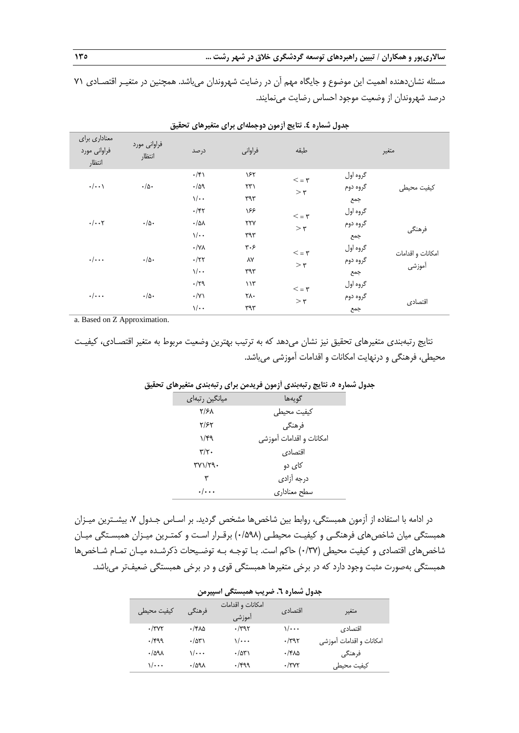مسئله نشان دهنده اهمیت این موضوع و جایگاه مهم آن در رضایت شهروندان می باشد. همچنین در متغیـر اقتصـادی 7۱ درصد شهروندان از وضعیت موجود احساس رضایت مینمایند.

| معناداری برای<br>فراواني مورد<br>انتظار | فراواني مورد<br>انتظار | در صد                                                               | فراواني                                    | طبقه                         |                             | متغير                       |
|-----------------------------------------|------------------------|---------------------------------------------------------------------|--------------------------------------------|------------------------------|-----------------------------|-----------------------------|
| $\cdot/\cdot\cdot$                      | $\cdot/\Delta$ .       | $\cdot$ /۴۱<br>.709<br>$\sqrt{\cdot \cdot}$                         | ۱۶۲<br>$\uparrow\uparrow\uparrow$<br>٣٩٣   | $\tau = 5$<br>$>\tau$        | گروه اول<br>گروه دوم<br>جمع | كيفيت محيطى                 |
| $\cdot/\cdot\cdot$ ۲                    | $\cdot/\Delta$ .       | $\cdot$ /۴۲<br>$\cdot/\Delta\lambda$<br>$\sqrt{\cdot \cdot \cdot}$  | ۱۶۶<br>$\gamma\gamma\gamma$<br>٣٩٣         | $\tau = 5$<br>$>\tau$        | گروه اول<br>گروه دوم<br>جمع | فرهنگي                      |
| $\cdot/\cdot\cdot$                      | $\cdot/\Delta$ .       | $\cdot/\forall\lambda$<br>$\cdot$ /٢٢<br>$\sqrt{\cdot \cdot \cdot}$ | $\mathbf{y} \cdot \mathbf{y}$<br>٨Y<br>٣٩٣ | $\tau = 5$<br>$> \mathbf{r}$ | گروه اول<br>گروه دوم<br>جمع | امكانات و اقدامات<br>أموزشى |
| $\cdot/\cdot\cdot$                      | $\cdot/\Delta$ .       | $\cdot$ /٢٩<br>$\cdot$ /Y)<br>$\sqrt{\cdot \cdot \cdot}$            | 117<br>۲۸۰<br>٣٩٣                          | $\tau = 5$<br>$>\tau$        | گروه اول<br>گروه دوم<br>جمع | اقتصادى                     |

**جدول شماره .4 نتایج آزمون دوجملهای برای متغیرهای تحقیق**

a. Based on Z Approximation.

نتایج رتبهبندی متغیرهای تحقیق نیز نشان میدهد که به ترتیب بهترین وضعیت مربوط به متغیر اقتصـادی، کیفیـت محیطی، فرهنگی و درنهایت امکانات و اقدامات آموزشی میباشد.

|                           | -- یع ز ۲۰ بینون از این از پایان برای ز ۲۰ بینون است. از ۱۰ ب |  |
|---------------------------|---------------------------------------------------------------|--|
| میانگین رتبهای            | گويەھا                                                        |  |
| $\frac{1}{2}$             | كيفيت محيطى                                                   |  |
| ۲/۶۲                      | فرهنگی                                                        |  |
| 1/F9                      | امكانات و اقدامات آموزشي                                      |  |
| $\mathbf{y}/\mathbf{y}$ . | اقتصادى                                                       |  |
| $\Upsilon$                | کای دو                                                        |  |
| ٣                         | درجه آزادى                                                    |  |
| $\cdot/\cdot\cdot\cdot$   | سطح معناداري                                                  |  |
|                           |                                                               |  |

**جدول شماره .5 نتایج رتبهبندی آزمون فریدمن برای رتبهبندی متغیرهای تحقیق**

در ادامه با استفاده از آزمون همبستگی، روابط بین شاخصها مشخص گردید. بر اسـاس جـدول ۷، بیشـترین میـزان همبستگی میان شاخصهای فرهنگـی و کیفیـت محیطـی )0/598( برقـرار اسـت و کمتـرین میـزان همبسـتگی میـان شاخصهای اقتصادی و کیفیت محیطی )0/37( حاکم است. بـا توجـه بـه توضـیحات ذکرشـده میـان تمـام شـاخصها همبستگی بهصورت مثبت وجود دارد که در برخی متغیرها همبستگی قوی و در برخی همبستگی ضعیفتر میباشد.

| جدول شماره ٦. ضريب همبستگي اسپيرمن |                       |                             |              |                          |  |  |
|------------------------------------|-----------------------|-----------------------------|--------------|--------------------------|--|--|
| كيفيت محيطى                        | فرهنگے ،              | امکانات و اقدامات<br>آموزشي | اقتصادي      | متغير                    |  |  |
| $\cdot$ /۳۷۲                       | ۸۵-۱۴                 | $\cdot$ /۳۹۲                | ۰۰۰/۱        | اقتصادى                  |  |  |
| $\cdot$ /۴۹۹                       | $\cdot$ /۵۳۱          | $\sqrt{\cdots}$             | $\cdot$ /۳۹۲ | امكانات و اقدامات آموزشى |  |  |
| .7091                              | ۰۰۰۱۱                 | $\cdot$ /۵۳۱                | ۰/۴۸۵        | فرهنگي                   |  |  |
| $\sqrt{\cdots}$                    | $\cdot$ /09 $\lambda$ | $\cdot$ /۴۹۹                | $\cdot$ /۳۷۲ | كيفيت محيطى              |  |  |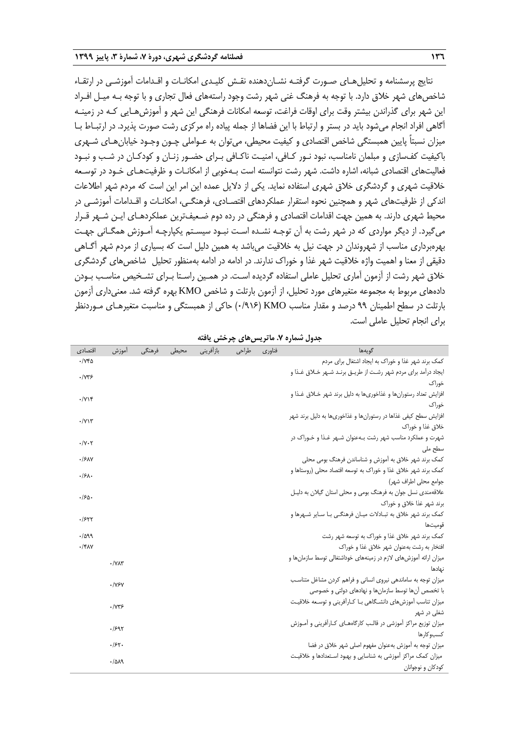نتایج پرسشنامه و تحلیلهـای صـورت گرفتـه نشـاندهنده نقـش کلیـدی امکانـات و اقـدامات آموزشـی در ارتقـاء شاخصهای شهر خالق دارد. با توجه به فرهنگ غنی شهر رشت وجود راستههای فعال تجاری و با توجه بـه میـل افـراد این شهر برای گذراندن بیشتر وقت برای اوقات فراغت، توسعه امکانات فرهنگی این شهر و آموزشهـایی کـه در زمینـه آگاهی افراد انجام میشود باید در بستر و ارتباط با این فضاها از جمله پیاده راه مرکزی رشت صورت پذیرد. در ارتبـاط بـا میزان نسبتاً پایین همبستگی شاخص اقتصادی و کیفیت محیطی، میتوان به عـواملی چـون وجـود خیابانهـای شـهری باکیفیت کفسازی و مبلمان نامناسب، نبود نـور کـافی، امنیـت ناکـافی بـرای حضـور زنـان و کودکـان در شـب و نبـود فعالیتهای اقتصادی شبانه، اشاره داشت. شهر رشت نتوانسته است بـهخوبی از امکانـات و ظرفیتهـای خـود در توسـعه خالقیت شهری و گردشگری خالق شهری استفاده نماید. یکی از دالیل عمده این امر این است که مردم شهر اطالعات اندکی از ظرفیتهای شهر و همچنین نحوه استقرار عملکردهای اقتصـادی، فرهنگـی، امکانـات و اقـدامات آموزشـی در محیط شهری دارند. به همین جهت اقدامات اقتصادی و فرهنگی در رده دوم ضـعیفترین عملکردهـای ایـن شـهر قـرار میگیرد. از دیگر مواردی که در شهر رشت به آن توجـه نشـده اسـت نبـود سیسـتم یکپارچـه آمـوزش همگـانی جهـت بهرهبرداری مناسب از شهروندان در جهت نیل به خالقیت میباشد به همین دلیل است که بسیاری از مردم شهر آگـاهی دقیقی از معنا و اهمیت واژه خالقیت شهر غذا و خوراك ندارند. در ادامه در ادامه بهمنظور تحلیل شاخصهای گردشگری خالق شهر رشت از آزمون آماری تحلیل عاملی استفاده گردیده اسـت. در همـین راسـتا بـرای تشـخیص مناسـب بـودن دادههای مربوط به مجموعه متغیرهای مورد تحلیل، از آزمون بارتلت و شاخص KMO بهره گرفته شد. معنیداری آزمون بارتلت در سطح اطمینان 99 درصد و مقدار مناسب KMO( 0/916 )حاکی از همبستگی و مناسبت متغیرهـای مـوردنظر برای انجام تحلیل عاملی است.

| اقتصادى                     | أموزش                            | فرهنگی | محيطى | بازآفريني | طراحى | فناوري | گويەھا                                                             |
|-----------------------------|----------------------------------|--------|-------|-----------|-------|--------|--------------------------------------------------------------------|
| ۲۷۴۵.                       |                                  |        |       |           |       |        | کمک برند شهر غذا و خوراک به ایجاد اشتغال برای مردم                 |
| ۱۷۳۶.                       |                                  |        |       |           |       |        | ایجاد درآمد برای مردم شهر رشت از طریـق برنـد شـهر خــلاق غـذا و    |
|                             |                                  |        |       |           |       |        | خوراک                                                              |
| $\cdot$ / $\vee$            |                                  |        |       |           |       |        | افزایش تعداد رستورانها و غذاخوریها به دلیل برند شهر خــلاق غــذا و |
|                             |                                  |        |       |           |       |        | خوراک                                                              |
| $\cdot$ / $\vee$            |                                  |        |       |           |       |        | افزایش سطح کیفی غذاها در رستورانها و غذاخوریها به دلیل برند شهر    |
|                             |                                  |        |       |           |       |        | خلاق غذا و خوراک                                                   |
| $\cdot/\gamma \cdot \gamma$ |                                  |        |       |           |       |        | شهرت و عملکرد مناسب شهر رشت بـهعنوان شـهر غـذا و خـوراک در         |
|                             |                                  |        |       |           |       |        | سطح ملی                                                            |
| ۰/۶۸۷                       |                                  |        |       |           |       |        | کمک برند شهر خلاق به آموزش و شناساندن فرهنگ بومی محلی              |
| .15                         |                                  |        |       |           |       |        | کمک برند شهر خلاق غذا و خوراک به توسعه اقتصاد محلی (روستاها و      |
|                             |                                  |        |       |           |       |        | جوامع محلی اطراف شهر)                                              |
| ۱۶۵۰                        |                                  |        |       |           |       |        | علاقهمندی نسل جوان به فرهنگ بومی و محلی استان گیلان به دلیـل       |
|                             |                                  |        |       |           |       |        | برند شهر غذا خلاق و خوراک                                          |
| ۰/۶۲۲                       |                                  |        |       |           |       |        | کمک برند شهر خلاق به تبـادلات ميـان فرهنگـي بـا سـاير شـهرها و     |
|                             |                                  |        |       |           |       |        | قوميتها                                                            |
| .7099                       |                                  |        |       |           |       |        | کمک برند شهر خلاق غذا و خوراک به توسعه شهر رشت                     |
| $\cdot$ /۴۸۷                |                                  |        |       |           |       |        | افتخار به رشت بهعنوان شهر خلاق غذا و خوراک                         |
|                             | $\cdot$ / $\vee$ $\wedge$ $\vee$ |        |       |           |       |        | میزان ارائه آموزش های لازم در زمینههای خوداشتغالی توسط سازمان ها و |
|                             |                                  |        |       |           |       |        | نهادها                                                             |
|                             | ۰/۷۶۷                            |        |       |           |       |        | میزان توجه به ساماندهی نیروی انسانی و فراهم کردن مشاغل متناسب      |
|                             |                                  |        |       |           |       |        | با تخصص آنها توسط سازمانها و نهادهای دولتی و خصوصی                 |
|                             | ۰/۷۳۶                            |        |       |           |       |        | میزان تناسب آموزش های دانشگاهی بـا کـارآفرینی و توسـعه خلاقیـت     |
|                             |                                  |        |       |           |       |        | شغلی در شهر                                                        |
|                             | ۶۹۲.                             |        |       |           |       |        | میزان توزیع مراکز آموزشی در قالب کارگاههـای کـارآفرینی و آمـوزش    |
|                             |                                  |        |       |           |       |        | کسبو کارها                                                         |
|                             | .751.                            |        |       |           |       |        | میزان توجه به آموزش بهعنوان مفهوم اصلی شهر خلاق در فضا             |
|                             | .7019                            |        |       |           |       |        | میزان کمک مراکز آموزشی به شناسایی و بهبود استعدادها و خلاقیت       |
|                             |                                  |        |       |           |       |        | كودكان و نوجوانان                                                  |

**جدول شماره .7 ماتریسهای چرخش یافته**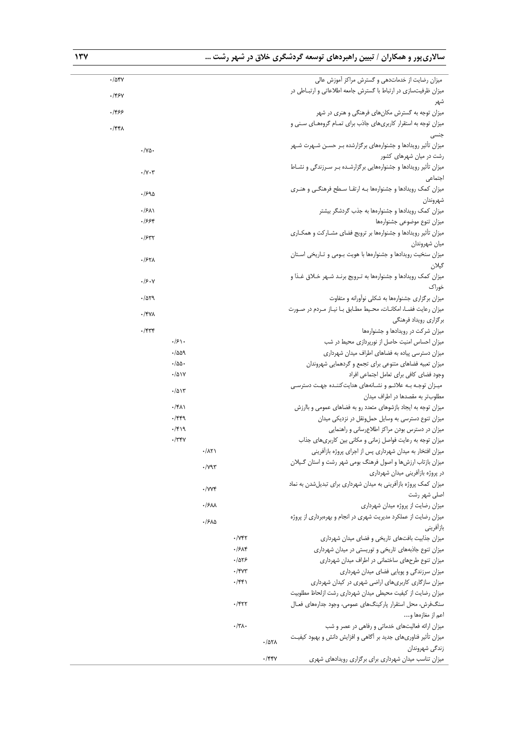# **ساالریپور و همکاران / تبیین راهبردهای توسعه گردشگری خالق در شهر رشت ... 137**

| میزان رضایت از خدماتدهی و گسترش مراکز آموزش عالی                   |              |                                        |                       |                           |                                 | $\cdot$ /54 $\gamma$ |  |
|--------------------------------------------------------------------|--------------|----------------------------------------|-----------------------|---------------------------|---------------------------------|----------------------|--|
| میزان ظرفیتسازی در ارتباط با گسترش جامعه اطلاعاتی و ارتبـاطی در    |              |                                        |                       |                           |                                 |                      |  |
| شهر                                                                |              |                                        |                       |                           |                                 | $.$ /۴۶۷             |  |
| میزان توجه به گسترش مکانهای فرهنگی و هنری در شهر                   |              |                                        |                       |                           |                                 | ۰/۴۶۶                |  |
| میزان توجه به استقرار کاربریهای جاذب برای تمـام گروههـای سـنی و    |              |                                        |                       |                           |                                 | $\cdot$ /۴۴۸         |  |
| جنسی                                                               |              |                                        |                       |                           |                                 |                      |  |
| میزان تأثیر رویدادها و جشنوارههای برگزارشده بـر حسـن شـهرت شـهر    |              |                                        |                       |                           | $\cdot/\gamma$ $\circ$ .        |                      |  |
| رشت در میان شهرهای کشور                                            |              |                                        |                       |                           |                                 |                      |  |
| میزان تأثیر رویدادها و جشنوارههایی برگزارشده بر سرزندگی و نشاط     |              |                                        |                       |                           | $\cdot$ / $\vee$ $\cdot$ $\vee$ |                      |  |
| اجتماعى                                                            |              |                                        |                       |                           |                                 |                      |  |
| میزان کمک رویدادها و جشنوارهها بـه ارتقـا سـطح فرهنگـی و هنـری     |              |                                        |                       |                           | ۹۵-۱۶                           |                      |  |
| شهروندان                                                           |              |                                        |                       |                           |                                 |                      |  |
| میزان کمک رویدادها و جشنوارهها به جذب گردشگر بیشتر                 |              |                                        |                       |                           | $\cdot$ /۶۸۱                    |                      |  |
| ميزان تنوع موضوعى جشنوارهها                                        |              |                                        |                       |                           | ۶۶۴.                            |                      |  |
| میزان تأثیر رویدادها و جشنوارهها بر ترویج فضای مشــارکت و همکــاری |              |                                        |                       |                           | .7577                           |                      |  |
| ميان شهروندان                                                      |              |                                        |                       |                           |                                 |                      |  |
| میزان سنخیت رویدادها و جشنوارهها با هویت بـومی و تــاریخی اسـتان   |              |                                        |                       |                           | ۰/۶۲۸                           |                      |  |
| گيلان                                                              |              |                                        |                       |                           |                                 |                      |  |
| میزان کمک رویدادها و جشنوارهها به تـرویج برنـد شـهر خـلاق غـذا و   |              |                                        |                       |                           | .19.4                           |                      |  |
| خوراک                                                              |              |                                        |                       |                           |                                 |                      |  |
| میزان برگزاری جشنوارهها به شکلی نوآورانه و متفاوت                  |              |                                        |                       |                           | .7079                           |                      |  |
| میزان رعایت فضا، امکانات، محیط مطابق با نیاز مردم در صورت          |              |                                        |                       |                           | $\cdot$ /۴۷۸                    |                      |  |
| برگزاری رویداد فرهنگی                                              |              |                                        |                       |                           |                                 |                      |  |
| میزان شرکت در رویدادها و جشنوارهها                                 |              |                                        |                       |                           | $\cdot$ /۴۳۴                    |                      |  |
| میزان احساس امنیت حاصل از نورپردازی محیط در شب                     |              |                                        |                       | .75                       |                                 |                      |  |
| میزان دسترسی پیاده به فضاهای اطراف میدان شهرداری                   |              |                                        |                       | .7009                     |                                 |                      |  |
| میزان تعبیه فضاهای متنوعی برای تجمع و گردهمایی شهروندان            |              |                                        |                       | $\cdot/\Delta\Delta\cdot$ |                                 |                      |  |
| وجود فضاى كافى براى تعامل اجتماعى افراد                            |              |                                        |                       | $\cdot/\Delta$ ١٧         |                                 |                      |  |
| میزان توجه بـه علائـم و نشـانههای هدایتکننـده جهـت دسترسـی         |              |                                        |                       | $\cdot$ /۵۱۳              |                                 |                      |  |
| مطلوبتر به مقصدها در اطراف میدان                                   |              |                                        |                       |                           |                                 |                      |  |
| میزان توجه به ایجاد بازشوهای متعدد رو به فضاهای عمومی و باارزش     |              |                                        |                       | $\cdot$ /۴۸۱              |                                 |                      |  |
| میزان تنوع دسترسی به وسایل حملونقل در نزدیکی میدان                 |              |                                        |                       | $\cdot$ /۴۴۹              |                                 |                      |  |
| میزان در دسترس بودن مراکز اطلاعرسانی و راهنمایی                    |              |                                        |                       | $\cdot$ /۴۱۹              |                                 |                      |  |
| میزان توجه به رعایت فواصل زمانی و مکانی بین کاربریهای جذاب         |              |                                        |                       | $\cdot$ /٣۴٧              |                                 |                      |  |
| میزان افتخار به میدان شهرداری پس از اجرای پروژه بازآفرینی          |              |                                        | $\cdot/\lambda\tau$   |                           |                                 |                      |  |
| میزان بازتاب ارزش ها و اصول فرهنگ بومی شهر رشت و استان گـبلان      |              |                                        | $\cdot$ / $\gamma$ ۹۳ |                           |                                 |                      |  |
| در پروژه بازآفرینی میدان شهرداری                                   |              |                                        |                       |                           |                                 |                      |  |
| میزان کمک پروژه بازآفرینی به میدان شهرداری برای تبدیل شدن به نماد  |              |                                        | $\cdot$ /YYF          |                           |                                 |                      |  |
| اصلی شهر رشت                                                       |              |                                        |                       |                           |                                 |                      |  |
| میزان رضایت از پروژه میدان شهرداری                                 |              |                                        | ۰/۶۸۸                 |                           |                                 |                      |  |
| میزان رضایت از عملکرد مدیریت شهری در انجام و بهرهبرداری از پروژه   |              |                                        | ٠/۶٨۵                 |                           |                                 |                      |  |
| باز آفريني                                                         |              |                                        |                       |                           |                                 |                      |  |
| میزان جذابیت بافتهای تاریخی و فضای میدان شهرداری                   |              | $\cdot$ / $\vee$ $\uparrow$ $\uparrow$ |                       |                           |                                 |                      |  |
| میزان تنوع جاذبههای تاریخی و توریستی در میدان شهرداری              |              | .75                                    |                       |                           |                                 |                      |  |
| میزان تنوع طرحهای ساختمانی در اطراف میدان شهرداری                  |              | .785                                   |                       |                           |                                 |                      |  |
| میزان سرزندگی و پویایی فضای میدان شهرداری                          |              | $\cdot$ /۴۷۳                           |                       |                           |                                 |                      |  |
| میزان سازگاری کاربریهای اراضی شهری در کیدان شهرداری                |              | $\cdot$ /۴۴۱                           |                       |                           |                                 |                      |  |
| میزان رضایت از کیفیت محیطی میدان شهرداری رشت ازلحاظ مطلوبیت        |              |                                        |                       |                           |                                 |                      |  |
| سنگ فرش، محل استقرار پارکینگ های عمومی، وجود جدارههای فعـال        |              | $\cdot$ /۴۲۲                           |                       |                           |                                 |                      |  |
| اعم از مغازهها و…                                                  |              |                                        |                       |                           |                                 |                      |  |
| میزان ارائه فعالیتهای خدماتی و رفاهی در عصر و شب                   |              | $\cdot/\tau\Lambda$ .                  |                       |                           |                                 |                      |  |
| میزان تأثیر فناوریهای جدید بر آگاهی و افزایش دانش و بهبود کیفیت    |              |                                        |                       |                           |                                 |                      |  |
| زندگی شهروندان                                                     | $\cdot$ /071 |                                        |                       |                           |                                 |                      |  |
| میزان تناسب میدان شهرداری برای برگزاری رویدادهای شهری              | $\cdot$ /۴۴۷ |                                        |                       |                           |                                 |                      |  |
|                                                                    |              |                                        |                       |                           |                                 |                      |  |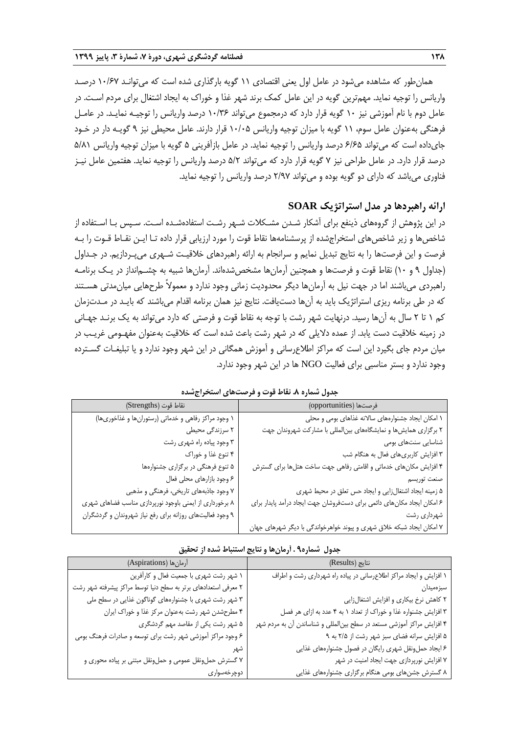همانطور که مشاهده میشود در عامل اول یعنی اقتصادی 11 گویه بارگذاری شده است که میتوانـد 10/67 درصـد واریانس را توجیه نماید. مهمترین گویه در این عامل کمک برند شهر غذا و خوراك به ایجاد اشتغال برای مردم اسـت. در عامل دوم با نام آموزشی نیز 10 گویه قرار دارد که درمجموع میتواند 10/36 درصد واریانس را توجیـه نمایـد. در عامـل فرهنگی بهعنوان عامل سوم، 11 گویه با میزان توجیه واریانس 10/05 قرار دارند. عامل محیطی نیز 9 گویـه دار در خـود جایداده است که میتواند 6/65 درصد واریانس را توجیه نماید. در عامل بازآفرینی 5 گویه با میزان توجیه واریانس 5/81 درصد قرار دارد. در عامل طراحی نیز 7 گویه قرار دارد که میتواند 5/2 درصد واریانس را توجیه نماید. هفتمین عامل نیـز فناوری میباشد که دارای دو گویه بوده و میتواند 2/97 درصد واریانس را توجیه نماید.

## **ارائه راهبردها در مدل استراتژیک SOAR**

در این پژوهش از گروههای ذینفع برای آشکار شـدن مشـکالت شـهر رشـت استفادهشـده اسـت. سـپس بـا اسـتفاده از شاخصها و زیر شاخصهای استخراجشده از پرسشنامهها نقاط قوت را مورد ارزیابی قرار داده تـا ایـن نقـاط قـوت را بـه فرصت و این فرصتها را به نتایج تبدیل نمایم و سرانجام به ارائه راهبردهای خالقیـت شـهری میپـردازیم. در جـداول )جداول 9 و 10( نقاط قوت و فرصتها و همچنین آرمانها مشخصشدهاند. آرمانها شبیه به چشـمانداز در یـک برنامـه راهبردی میباشند اما در جهت نیل به آرمانها دیگر محدودیت زمانی وجود ندارد و معموالً طرحهایی میانمدتی هسـتند که در طی برنامه ریزی استراتژیک باید به آنها دستیافت. نتایج نیز همان برنامه اقدام میباشند که بایـد در مـدتزمان کم 1 تا 2 سال به آنها رسید. درنهایت شهر رشت با توجه به نقاط قوت و فرصتی که دارد میتواند به یک برنـد جهـانی در زمینه خلاقیت دست یابد. از عمده دلایلی که در شهر رشت باعث شده است که خلاقیت بهعنوان مفهـومی غریـب در میان مردم جای بگیرد این است که مراکز اطالعرسانی و آموزش همگانی در این شهر وجود ندارد و یا تبلیغـات گسـترده وجود ندارد و بستر مناسبی برای فعالیت NGO ها در این شهر وجود ندارد.

| فرصتها (opportunities)                                                  | نقاط قوت (Strengths)                                      |
|-------------------------------------------------------------------------|-----------------------------------------------------------|
| ۱ امکان ایجاد جشنوارههای سالانه غذاهای بومی و محلی                      | ۱ وجود مراکز رفاهی و خدماتی (رستورانها و غذاخوریها)       |
| ۲ برگزاری همایش ها و نمایشگاههای بینالمللی با مشارکت شهروندان جهت       | ۲ سرزندگی محیطی                                           |
| شناسایی سنتها <i>ی</i> بومی                                             | ۳ وجود پیاده راه شهری رشت                                 |
| ۳ افزایش کاربریهای فعال به هنگام شب                                     | ۴ تنوع غذا و خوراک                                        |
| ۴ افزایش مکان های خدماتی و اقامتی رفاهی جهت ساخت هتلها برای گسترش       | ۵ تنوع فرهنگی در برگزاری جشنوارهها                        |
| صنعت توريسم                                                             | ۶ وجود بازارهاي محلي فعال                                 |
| ۵ زمینه ایجاد اشتغالزایی و ایجاد حس تعلق در محیط شهری                   | ۷ وجود جاذبههای تاریخی، فرهنگی و مذهبی                    |
| ۶ امکان ایجاد مکان های دائمی برای دستفروشان جهت ایجاد درآمد پایدار برای | ۸ برخورداری از ایمنی باوجود نورپردازی مناسب فضاهای شهری   |
| شهرداری رشت                                                             | ۹ وجود فعالیتهای روزانه برای رفع نیاز شهروندان و گردشگران |
| ۷ امکان ایجاد شبکه خلاق شهری و پیوند خواهرخواندگی با دیگر شهرهای جهان   |                                                           |

**جدول شماره .8 نقاط قوت و فرصتهای استخراجشده**

|  |  |  |  |  |  |  | جدول شماره۹ . أرمانها و نتايج استنباط شده از تحقيق |  |
|--|--|--|--|--|--|--|----------------------------------------------------|--|
|--|--|--|--|--|--|--|----------------------------------------------------|--|

| أرمان ها (Aspirations)                                         | نتايج (Results)                                                        |
|----------------------------------------------------------------|------------------------------------------------------------------------|
| ۱ شهر رشت شهري با جمعيت فعال و كارأفرين                        | ۱ افزایش و ایجاد مراکز اطلاعرسانی در پیاده راه شهرداری رشت و اطراف     |
| ۲ معرفی استعدادهای برتر به سطح دنیا توسط مراکز پیشرفته شهر رشت | سبزەميدان                                                              |
| ۳ شهر رشت شهری با جشنوارههای گوناگون غذایی در سطح ملی          | ٢ كاهش نرخ بيكارى و افزايش اشتغالزايي                                  |
| ۴ مطرحشدن شهر رشت بهعنوان مركز غذا و خوراك ايران               | ۳ افزایش جشنواره غذا و خوراک از تعداد ۱ به ۴ عدد به ازای هر فصل        |
| ۵ شهر رشت یکی از مقاصد مهم گردشگری                             | ۴ افزایش مراکز آموزشی مستعد در سطح بین لمللی و شناساندن آن به مردم شهر |
| ۶ وجود مراکز آموزشی شهر رشت برای توسعه و صادرات فرهنگ بومی     | ۵ افزایش سرانه فضای سبز شهر رشت از ۲/۵ به ۹                            |
|                                                                | ۶ ایجاد حمل ونقل شهری رایگان در فصول جشنوارههای غذایی                  |
| ۷ گسترش حملونقل عمومی و حملونقل مبتنی بر پیاده محوری و         | ۷ افزایش نورپردازی جهت ایجاد امنیت در شهر                              |
| دوچرخەسوار <i>ى</i>                                            | ۸ گسترش جشنهای بومی هنگام برگزاری جشنوارههای غذایی                     |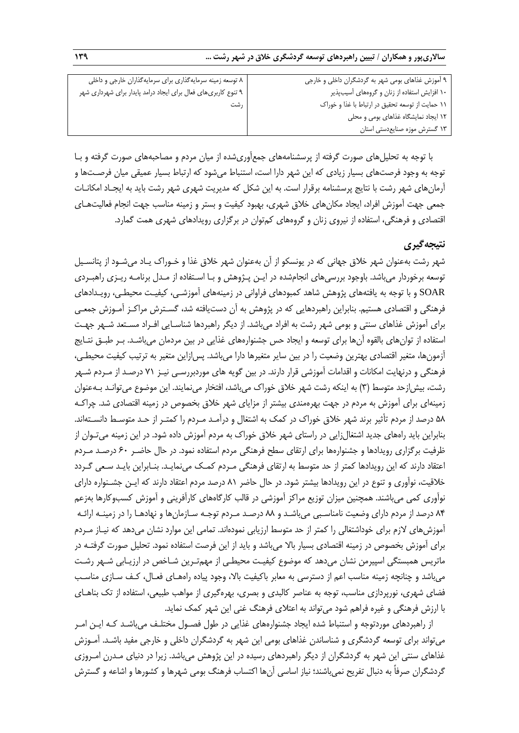| ۸ توسعه زمینه سرمایهگذاری برای سرمایهگذاران خارجی و داخلی      | ۹ آموزش غذاهای بومی شهر به گردشگران داخلی و خارجی |
|----------------------------------------------------------------|---------------------------------------------------|
| ۹ تنوع کاربریهای فعال برای ایجاد درامد پایدار برای شهرداری شهر | ۱۰ افزایش استفاده از زنان و گروههای آسیبپذیر      |
| ر شت                                                           | ١١ حمايت از توسعه تحقيق در ارتباط با غذا و خوراك  |
|                                                                | ١٢ ايجاد نمايشكاه غذاهاى بومى و محلى              |
|                                                                | ۱۳ گسترش موزه صنایعدستی استان                     |

با توجه به تحلیلهای صورت گرفته از پرسشنامههای جمعآوریشده از میان مردم و مصاحبههای صورت گرفته و بـا توجه به وجود فرصتهای بسیار زیادی که این شهر دارا است، استنباط میشود که ارتباط بسیار عمیقی میان فرصـتها و آرمانهای شهر رشت با نتایج پرسشنامه برقرار است. به این شکل که مدیریت شهری شهر رشت باید به ایجـاد امکانـات جمعی جهت آموزش افراد، ایجاد مکانهای خالق شهری، بهبود کیفیت و بستر و زمینه مناسب جهت انجام فعالیتهـای اقتصادی و فرهنگی، استفاده از نیروی زنان و گروههای کمتوان در برگزاری رویدادهای شهری همت گمارد.

# **نتیجهگیری**

شهر رشت بهعنوان شهر خالق جهانی که در یونسکو از آن بهعنوان شهر خالق غذا و خـوراك یـاد میشـود از پتانسـیل توسعه برخوردار میباشد. باوجود بررسیهای انجامشده در ایـن پـژوهش و بـا اسـتفاده از مـدل برنامـه ریـزی راهبـردی SOAR و با توجه به یافتههای پژوهش شاهد کمبودهای فراوانی در زمینههای آموزشـی، کیفیـت محیطـی، رویـدادهای فرهنگی و اقتصادی هستیم. بنابراین راهبردهایی که در پژوهش به آن دستیافته شد، گسـترش مراکـز آمـوزش جمعـی برای آموزش غذاهای سنتی و بومی شهر رشت به افراد میباشد. از دیگر راهبردها شناسـایی افـراد مسـتعد شـهر جهـت استفاده از توانهای بالقوه آنها برای توسعه و ایجاد حس جشنوارههای غذایی در بین مردمان میباشـد. بـر طبـق نتـایج آزمونها، متغیر اقتصادی بهترین وضعیت را در بین سایر متغیرها دارا میباشد. پسازاین متغیر به ترتیب کیفیت محیطـی، فرهنگی و درنهایت امکانات و اقدامات آموزشی قرار دارند. در بین گویه های موردبررسـی نیـز 71 درصـد از مـردم شـهر رشت، بیش|زحد متوسط (۳) به اینکه رشت شهر خلاق خوراک میباشد، افتخار مینمایند. این موضوع میتوانـد بـهعنوان زمینهای برای آموزش به مردم در جهت بهرهمندی بیشتر از مزایای شهر خالق بخصوص در زمینه اقتصادی شد. چراکـه 58 درصد از مردم تأثیر برند شهر خالق خوراك در کمک به اشتغال و درآمـد مـردم را کمتـر از حـد متوسـ دانسـتهاند. بنابراین باید راههای جدید اشتغالزایی در راستای شهر خالق خوراك به مردم آموزش داده شود. در این زمینه میتـوان از ظرفیت برگزاری رویدادها و جشنوارهها برای ارتقای سطح فرهنگی مردم استفاده نمود. در حال حاضـر 60 درصـد مـردم اعتقاد دارند که این رویدادها کمتر از حد متوسط به ارتقای فرهنگی مـردم کمـک میiمایـد. بنـابراین بایـد سـعی گـردد خالقیت، نوآوری و تنوع در این رویدادها بیشتر شود. در حال حاضر 81 درصد مردم اعتقاد دارند که ایـن جشـنواره دارای نوآوری کمی میباشند. همچنین میزان توزیع مراکز آموزشی در قالب کارگاههای کارآفرینی و آموزش کسبوکارها بهزعم 84 درصد از مردم دارای وضعیت نامناسـبی میباشـد و 88 درصـد مـردم توجـه سـازمانها و نهادهـا را در زمینـه ارائـه آموزش های لازم برای خوداشتغالی را کمتر از حد متوسط ارزیابی نمودهاند. تمامی این موارد نشان می دهد که نیـاز مـردم برای آموزش بخصوص در زمینه اقتصادی بسیار باال میباشد و باید از این فرصت استفاده نمود. تحلیل صورت گرفتـه در ماتریس همبستگی اسپیرمن نشان میدهد که موضوع کیفیـت محیطـی از مهمتـرین شـاخص در ارزیـابی شـهر رشـت میباشد و چنانچه زمینه مناسب اعم از دسترسی به معابر باکیفیت باال، وجود پیاده راههـای فعـال، کـف سـازی مناسـب فضای شهری، نورپردازی مناسب، توجه به عناصر کالبدی و بصری، بهرهگیری از مواهب طبیعی، استفاده از تک بناهـای با ارزش فرهنگی و غیره فراهم شود میتواند به اعتالی فرهنگ غنی این شهر کمک نماید.

از راهبردهای موردتوجه و استنباط شده ایجاد جشنوارههای غذایی در طول فصـول مختلـف میباشـد کـه ایـن امـر میتواند برای توسعه گردشگری و شناساندن غذاهای بومی این شهر به گردشگران داخلی و خارجی مفید باشـد. آمـوزش غذاهای سنتی این شهر به گردشگران از دیگر راهبردهای رسیده در این پژوهش میباشد. زیرا در دنیای مـدرن امـروزی گردشگران صرفاً به دنبال تفریح نمیباشند؛ نیاز اساسی آنها اکتساب فرهنگ بومی شهرها و کشورها و اشاعه و گسترش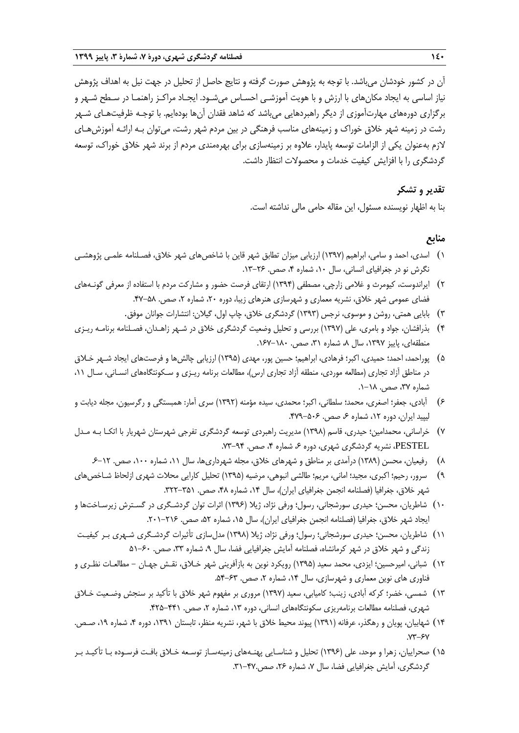آن در کشور خودشان میباشد. با توجه به پژوهش صورت گرفته و نتایج حاصل از تحلیل در جهت نیل به اهداف پژوهش نیاز اساسی به ایجاد مکانهای با ارزش و با هویت آموزشـی احسـاس میشـود. ایجـاد مراکـز راهنمـا در سـطح شـهر و برگزاری دورههای مهارتآموزی از دیگر راهبردهایی میباشد که شاهد فقدان آنها بودهایم. با توجـه ظرفیتهـای شـهر رشت در زمینه شهر خالق خوراك و زمینههای مناسب فرهنگی در بین مردم شهر رشت، میتوان بـه ارائـه آموزشهـای الزم بهعنوان یکی از الزامات توسعه پایدار، عالوه بر زمینهسازی برای بهرهمندی مردم از برند شهر خالق خوراك، توسعه گردشگری را با افزایش کیفیت خدمات و محصوالت انتظار داشت.

# **تقدیر و تشکر**

بنا به اظهار نویسنده مسئول، این مقاله حامی مالی نداشته است.

# **منابع**

- 1( اسدی، احمد و سامی، ابراهیم )1397( ارزیابی میزان تطابق شهر قاین با شاخصهای شهر خالق، فصـلنامه علمـی پژوهشـی نگرش نو در جغرافیای انسانی، سال ۱۰، شماره ۴، صص. ۲۶-۱۳.
- 2( ایراندوست، کیومرث و غالمی زارچی، مصطفی )1394( ارتقای فرصت حضور و مشارکت مردم با استفاده از معرفی گونـههای فضای عمومی شهر خالق، نشریه معماری و شهرسازی هنرهای زیبا، دوره ،20 شماره ،2 صص. .47-58
	- 3( بابایی همتی، روشن و موسوی، نرجس )1393( گردشگری خالق، چاپ اول، گیالن: انتشارات جوانان موفق.
- 4( بذرافشان، جواد و بامری، علی )1397( بررسی و تحلیل وضعیت گردشگری خالق در شـهر زاهـدان، فصـلنامه برنامـه ریـزی منطقهای، پاییز ۱۳۹۷، سال ۸، شماره ۳۱، صص. ۱۸۰–۱۶۷.
- ۵) پوراحمد، احمد؛ حمیدی، اکبر؛ فرهادی، ابراهیم؛ حسین پور، مهدی (۱۳۹۵) ارزیابی چالشها و فرصتهای ایجاد شـهر خـلاق در مناطق آزاد تجاری (مطالعه موردی، منطقه آزاد تجاری ارس)، مطالعات برنامه ریـزی و سـکونتگاههای انسـانی، سـال ١١، شماره ۳۷، صص. ۱۸–۱.
- 6( آبادی، جعفر؛ اصغری، محمد؛ سلطانی، اکبر؛ محمدی، سیده مؤمنه )1392( سری آمار: همبستگی و رگرسیون، مجله دیابت و لیپید ایران، دوره ۱۲، شماره ۶، صص. ۵۰۶–۴۷۹.
- 7( خراسانی، محمدامین؛ حیدری، قاسم )1398( مدیریت راهبردی توسعه گردشگری تفرجی شهرستان شهریار با اتکـا بـه مـدل PESTEL، نشریه گردشگری شهری، دوره ۶، شماره ۴، صص. ۹۴-۷۳.
	- 8( رفیعیان، محسن )1389( درآمدی بر مناطق و شهرهای خالق، مجله شهرداریها، سال ،11 شماره ،100 صص. .6-12
- ۹) سرور، رحیم؛ اکبری، مجید؛ امانی، مریم؛ طالشی انبوهی، مرضیه (۱۳۹۵) تحلیل کارایی محلات شهری ازلحاظ شـاخصهای شهر خلاق، جغرافیا (فصلنامه انجمن جغرافیای ایران)، سال ۱۴، شماره ۴۸، صص. ۳۵۱–۳۲۲.
- 10( شاطریان، محسن؛ حیدری سورشجانی، رسول؛ ورفی نژاد، ژیال )1396( اثرات توان گردشـگری در گسـترش زیرسـاختها و ایجاد شهر خلاق، جغرافیا (فصلنامه انجمن جغرافیای ایران)، سال ۱۵، شماره ۵۲، صص. ۲۱۶–۲۰۱.
- ١١) شاطریان، محسن؛ حیدری سورشجانی؛ رسول؛ ورفی نژاد، ژیلا (١٣٩٨) مدلسازی تأثیرات گردشـگری شـهری بـر کیفیـت زندگی و شهر خالق در شهر کرمانشاه، فصلنامه آمایش جغرافیایی فضا، سال ،9 شماره ،33 صص. 51-60
- 12( شبانی، امیرحسین؛ ایزدی، محمد سعید )1395( رویکرد نوین به بازآفرینی شهر خـالق، نقـش جهـان مطالعـات نظـری و فناوری های نوین معماری و شهرسازی، سال ۱۴، شماره ۲، صص. ۶۳-۵۴.
- 13( شمسی، خضر؛ کرکه آبادی، زینب؛ کامیابی، سعید )1397( مروری بر مفهوم شهر خالق با تأکید بر سنجش وضـعیت خـالق شهری، فصلنامه مطالعات برنامهریزی سکونتگاههای انسانی، دوره ۱۳، شماره ۲، صص. ۴۴۱–۴۲۵.
- ۱۴) شهابیان، پویان و رهگذر، عرفانه (۱۳۹۱) پیوند محیط خلاق با شهر، نشریه منظر، تابستان ۱۳۹۱، دوره ۴، شماره ۱۹، صـص.  $V'' - SV$
- 15( صحراییان، زهرا و موحد، علی )1396( تحلیل و شناسـایی پهنـههای زمینهسـاز توسـعه خـالق بافـت فرسـوده بـا تأکیـد بـر گردشگری، آمایش جغرافیایی فضا، سال ۷، شماره ۲۶، صص.۴۷-۳۱.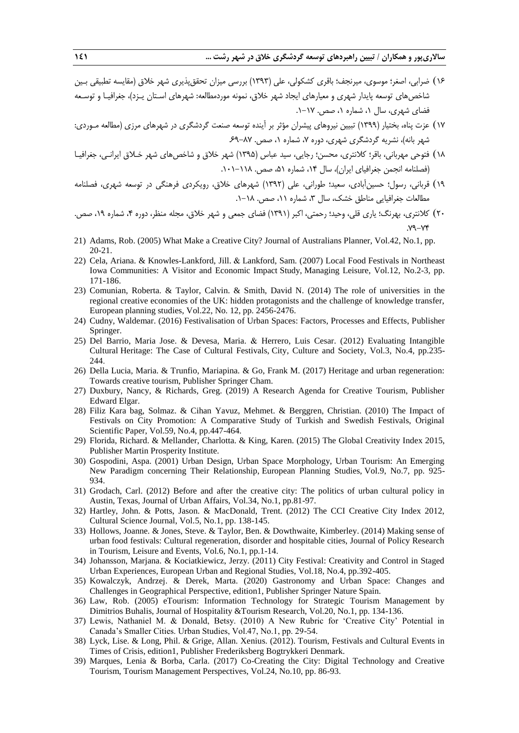- ۱۶) ضرابی، اصغر؛ موسوی، میرنجف؛ باقری کشکولی، علی (۱۳۹۳) بررسی میزان تحققپذیری شهر خلاق (مقایسه تطبیقی بـین شاخصهای توسعه پایدار شهری و معیارهای ایجاد شهر خالق، نمونه موردمطالعه: شهرهای اسـتان یـزد(، جغرافیـا و توسـعه فضای شهری، سال ،1 شماره ،1 صص. .1-17
- 17( عزت پناه، بختیار )1399( تبیین نیروهای پیشران مؤثر بر آینده توسعه صنعت گردشگری در شهرهای مرزی )مطالعه مـوردی: شهر بانه)، نشریه گردشگری شهری، دوره ۷، شماره ۱، صص. ۸۷-۶۹
- ۱۸) فتوحی مهربانی، باقر؛ کلانتری، محسن؛ رجایی، سید عباس (۱۳۹۵) شهر خلاق و شاخصهای شهر خـلاق ایرانـی، جغرافیـا )فصلنامه انجمن جغرافیای ایران(، سال ،14 شماره ،51 صص. .101-118
- 19( قربانی، رسول؛ حسینآبادی، سعید؛ طورانی، علی )1392( شهرهای خالق، رویکردی فرهنگی در توسعه شهری، فصلنامه مطالعات جغرافیایی مناطق خشک، سال ،3 شماره ،11 صص. .1-18
- ۲۰) کلانتری، بهرنگ؛ یاری قلی، وحید؛ رحمتی، اکبر (۱۳۹۱) فضای جمعی و شهر خلاق، مجله منظر، دوره ۴، شماره ۱۹، صص. .79-74
- 21) Adams, Rob. (2005) What Make a Creative City? Journal of Australians Planner, Vol.42, No.1, pp. 20-21.
- 22) Cela, Ariana. & Knowles-Lankford, Jill. & Lankford, Sam. (2007) Local Food Festivals in Northeast Iowa Communities: A Visitor and Economic Impact Study, Managing Leisure, Vol.12, No.2-3, pp. 171-186.
- 23) Comunian, Roberta. & Taylor, Calvin. & Smith, David N. (2014) The role of universities in the regional creative economies of the UK: hidden protagonists and the challenge of knowledge transfer, European planning studies, Vol.22, No. 12, pp. 2456-2476.
- 24) Cudny, Waldemar. (2016) Festivalisation of Urban Spaces: Factors, Processes and Effects, Publisher Springer.
- 25) Del Barrio, Maria Jose. & Devesa, Maria. & Herrero, Luis Cesar. (2012) Evaluating Intangible Cultural Heritage: The Case of Cultural Festivals, City, Culture and Society, Vol.3, No.4, pp.235- 244.
- 26) Della Lucia, Maria. & Trunfio, Mariapina. & Go, Frank M. (2017) Heritage and urban regeneration: Towards creative tourism, Publisher Springer Cham.
- 27) Duxbury, Nancy, & Richards, Greg. (2019) A Research Agenda for Creative Tourism, Publisher Edward Elgar.
- 28) Filiz Kara bag, Solmaz. & Cihan Yavuz, Mehmet. & Berggren, Christian. (2010) The Impact of Festivals on City Promotion: A Comparative Study of Turkish and Swedish Festivals, Original Scientific Paper, Vol.59, No.4, pp.447-464.
- 29) Florida, Richard. & Mellander, Charlotta. & King, Karen. (2015) The Global Creativity Index 2015, Publisher Martin Prosperity Institute.
- 30) Gospodini, Aspa. (2001) Urban Design, Urban Space Morphology, Urban Tourism: An Emerging New Paradigm concerning Their Relationship, European Planning Studies, Vol.9, No.7, pp. 925- 934.
- 31) Grodach, Carl. (2012) Before and after the creative city: The politics of urban cultural policy in Austin, Texas, Journal of Urban Affairs, Vol.34, No.1, pp.81-97.
- 32) Hartley, John. & Potts, Jason. & MacDonald, Trent. (2012) The CCI Creative City Index 2012, Cultural Science Journal, Vol.5, No.1, pp. 138-145.
- 33) Hollows, Joanne. & Jones, Steve. & Taylor, Ben. & Dowthwaite, Kimberley. (2014) Making sense of urban food festivals: Cultural regeneration, disorder and hospitable cities, Journal of Policy Research in Tourism, Leisure and Events, Vol.6, No.1, pp.1-14.
- 34) Johansson, Marjana. & Kociatkiewicz, Jerzy. (2011) City Festival: Creativity and Control in Staged Urban Experiences, European Urban and Regional Studies, Vol.18, No.4, pp.392-405.
- 35) Kowalczyk, Andrzej. & Derek, Marta. (2020) Gastronomy and Urban Space: Changes and Challenges in Geographical Perspective, edition1, Publisher Springer Nature Spain.
- 36) Law, Rob. (2005) eTourism: Information Technology for Strategic Tourism Management by Dimitrios Buhalis, Journal of Hospitality &Tourism Research, Vol.20, No.1, pp. 134-136.
- 37) Lewis, Nathaniel M. & Donald, Betsy. (2010) A New Rubric for 'Creative City' Potential in Canada's Smaller Cities. Urban Studies, Vol.47, No.1, pp. 29-54.
- 38) Lyck, Lise. & Long, Phil. & Grige, Allan. Xenius. (2012). Tourism, Festivals and Cultural Events in Times of Crisis, edition1, Publisher Frederiksberg Bogtrykkeri Denmark.
- 39) Marques, Lenia & Borba, Carla. (2017) Co-Creating the City: Digital Technology and Creative Tourism, Tourism Management Perspectives, Vol.24, No.10, pp. 86-93.